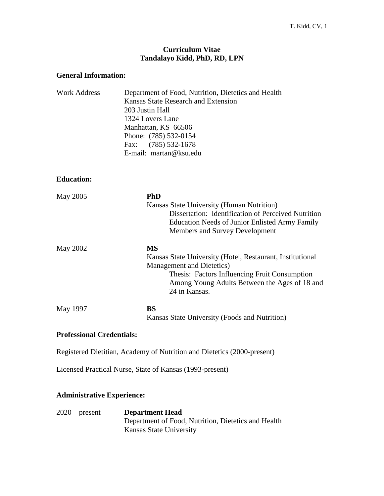### **Curriculum Vitae Tandalayo Kidd, PhD, RD, LPN**

#### **General Information:**

| Department of Food, Nutrition, Dietetics and Health |
|-----------------------------------------------------|
| Kansas State Research and Extension                 |
| 203 Justin Hall                                     |
| 1324 Lovers Lane                                    |
| Manhattan, KS 66506                                 |
| Phone: (785) 532-0154                               |
| Fax: $(785)$ 532-1678                               |
| E-mail: martan@ksu.edu                              |
|                                                     |

**Education:**

| May 2005 | <b>PhD</b>                                                |
|----------|-----------------------------------------------------------|
|          | Kansas State University (Human Nutrition)                 |
|          | Dissertation: Identification of Perceived Nutrition       |
|          | <b>Education Needs of Junior Enlisted Army Family</b>     |
|          | Members and Survey Development                            |
| May 2002 | <b>MS</b>                                                 |
|          | Kansas State University (Hotel, Restaurant, Institutional |
|          | Management and Dietetics)                                 |
|          | Thesis: Factors Influencing Fruit Consumption             |
|          | Among Young Adults Between the Ages of 18 and             |
|          | 24 in Kansas.                                             |
| May 1997 | <b>BS</b>                                                 |
|          | Kansas State University (Foods and Nutrition)             |

### **Professional Credentials:**

Registered Dietitian, Academy of Nutrition and Dietetics (2000-present)

Licensed Practical Nurse, State of Kansas (1993-present)

### **Administrative Experience:**

2020 – present **Department Head** Department of Food, Nutrition, Dietetics and Health Kansas State University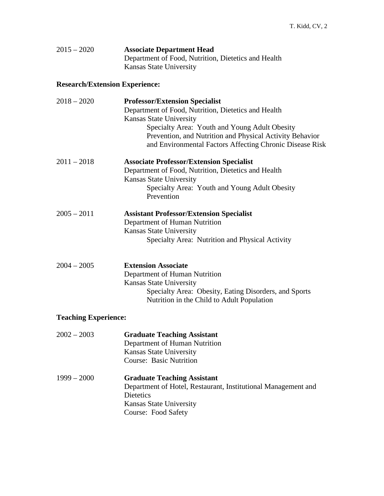| $2015 - 2020$ | <b>Associate Department Head</b>                    |
|---------------|-----------------------------------------------------|
|               | Department of Food, Nutrition, Dietetics and Health |
|               | Kansas State University                             |

# **Research/Extension Experience:**

| $2018 - 2020$               | <b>Professor/Extension Specialist</b><br>Department of Food, Nutrition, Dietetics and Health<br>Kansas State University<br>Specialty Area: Youth and Young Adult Obesity<br>Prevention, and Nutrition and Physical Activity Behavior<br>and Environmental Factors Affecting Chronic Disease Risk |
|-----------------------------|--------------------------------------------------------------------------------------------------------------------------------------------------------------------------------------------------------------------------------------------------------------------------------------------------|
| $2011 - 2018$               | <b>Associate Professor/Extension Specialist</b><br>Department of Food, Nutrition, Dietetics and Health<br><b>Kansas State University</b><br>Specialty Area: Youth and Young Adult Obesity<br>Prevention                                                                                          |
| $2005 - 2011$               | <b>Assistant Professor/Extension Specialist</b><br>Department of Human Nutrition<br>Kansas State University<br>Specialty Area: Nutrition and Physical Activity                                                                                                                                   |
| $2004 - 2005$               | <b>Extension Associate</b><br>Department of Human Nutrition<br>Kansas State University<br>Specialty Area: Obesity, Eating Disorders, and Sports<br>Nutrition in the Child to Adult Population                                                                                                    |
| <b>Teaching Experience:</b> |                                                                                                                                                                                                                                                                                                  |
| $2002 - 2003$               | <b>Graduate Teaching Assistant</b><br>Department of Human Nutrition<br><b>Kansas State University</b><br><b>Course: Basic Nutrition</b>                                                                                                                                                          |
| $1999 - 2000$               | <b>Graduate Teaching Assistant</b><br>Department of Hotel, Restaurant, Institutional Management and<br>Dietetics<br>Kansas State University<br>Course: Food Safety                                                                                                                               |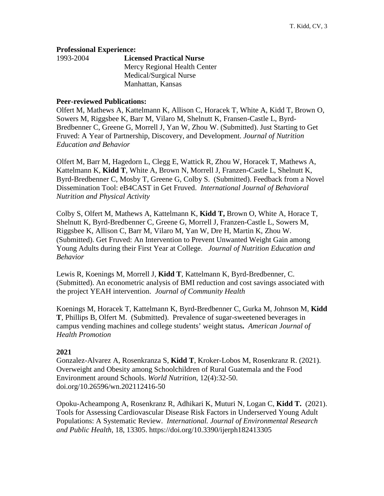#### **Professional Experience:**

| 1993-2004 | <b>Licensed Practical Nurse</b> |
|-----------|---------------------------------|
|           | Mercy Regional Health Center    |
|           | Medical/Surgical Nurse          |
|           | Manhattan, Kansas               |

#### **Peer-reviewed Publications:**

Olfert M, Mathews A, Kattelmann K, Allison C, Horacek T, White A, Kidd T, Brown O, Sowers M, Riggsbee K, Barr M, Vilaro M, Shelnutt K, Fransen-Castle L, Byrd-Bredbenner C, Greene G, Morrell J, Yan W, Zhou W. (Submitted). Just Starting to Get Fruved: A Year of Partnership, Discovery, and Development. *Journal of Nutrition Education and Behavior*

Olfert M, Barr M, Hagedorn L, Clegg E, Wattick R, Zhou W, Horacek T, Mathews A, Kattelmann K, **Kidd T**, White A, Brown N, Morrell J, Franzen-Castle L, Shelnutt K, Byrd-Bredbenner C, Mosby T, Greene G, Colby S. (Submitted). Feedback from a Novel Dissemination Tool: eB4CAST in Get Fruved. *International Journal of Behavioral Nutrition and Physical Activity*

Colby S, Olfert M, Mathews A, Kattelmann K, **Kidd T,** Brown O, White A, Horace T, Shelnutt K, Byrd-Bredbenner C, Greene G, Morrell J, Franzen-Castle L, Sowers M, Riggsbee K, Allison C, Barr M, Vilaro M, Yan W, Dre H, Martin K, Zhou W. (Submitted). Get Fruved: An Intervention to Prevent Unwanted Weight Gain among Young Adults during their First Year at College. *Journal of Nutrition Education and Behavior*

Lewis R, Koenings M, Morrell J, **Kidd T**, Kattelmann K, Byrd-Bredbenner, C. (Submitted). An econometric analysis of BMI reduction and cost savings associated with the project YEAH intervention. *Journal of Community Health*

Koenings M, Horacek T, Kattelmann K, Byrd-Bredbenner C, Gurka M, Johnson M, **Kidd T**, Phillips B, Olfert M. (Submitted). Prevalence of sugar-sweetened beverages in campus vending machines and college students' weight status**.** *American Journal of Health Promotion*

### **2021**

Gonzalez-Alvarez A, Rosenkranza S, **Kidd T**, Kroker-Lobos M, Rosenkranz R. (2021). Overweight and Obesity among Schoolchildren of Rural Guatemala and the Food Environment around Schools. *World Nutrition*, 12(4):32-50. doi.org/10.26596/wn.202112416-50

Opoku-Acheampong A, Rosenkranz R, Adhikari K, Muturi N, Logan C, **Kidd T.** (2021). Tools for Assessing Cardiovascular Disease Risk Factors in Underserved Young Adult Populations: A Systematic Review. *International. Journal of Environmental Research and Public Health*, 18, 13305. https://doi.org/10.3390/ijerph182413305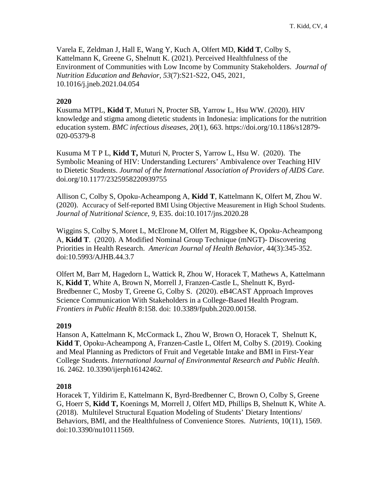Varela E, Zeldman J, Hall E, Wang Y, Kuch A, Olfert MD, **Kidd T**, Colby S, Kattelmann K, Greene G, Shelnutt K. (2021). Perceived Healthfulness of the Environment of Communities with Low Income by Community Stakeholders. *Journal of Nutrition Education and Behavior, 53*(7):S21-S22, O45, 2021*,*  10.1016/j.jneb.2021.04.054

### **2020**

Kusuma MTPL, **Kidd T**, Muturi N, Procter SB, Yarrow L, Hsu WW. (2020). HIV knowledge and stigma among dietetic students in Indonesia: implications for the nutrition education system. *BMC infectious diseases*, *20*(1), 663. https://doi.org/10.1186/s12879- 020-05379-8

Kusuma M T P L, **Kidd T,** Muturi N, Procter S, Yarrow L, Hsu W. (2020). The Symbolic Meaning of HIV: Understanding Lecturers' Ambivalence over Teaching HIV to Dietetic Students. *Journal of the International Association of Providers of AIDS Care.* doi.org/10.1177/2325958220939755

Allison C, Colby S, Opoku-Acheampong A, **Kidd T**, Kattelmann K, Olfert M, Zhou W. (2020). Accuracy of Self-reported BMI Using Objective Measurement in High School Students. *Journal of Nutritional Science, 9*, E35. doi:10.1017/jns.2020.28

Wiggins S, Colby S, Moret L, McElrone M, Olfert M, Riggsbee K, Opoku-Acheampong A, **Kidd T**. (2020). A Modified Nominal Group Technique (mNGT)- Discovering Priorities in Health Research. *American Journal of Health Behavior*, 44(3):345-352. doi:10.5993/AJHB.44.3.7

Olfert M, Barr M, Hagedorn L, Wattick R, Zhou W, Horacek T, Mathews A, Kattelmann K, **Kidd T**, White A, Brown N, Morrell J, Franzen-Castle L, Shelnutt K, Byrd-Bredbenner C, Mosby T, Greene G, Colby S. (2020). eB4CAST Approach Improves Science Communication With Stakeholders in a College-Based Health Program. *Frontiers in Public Health* 8:158. doi: 10.3389/fpubh.2020.00158.

### **2019**

Hanson A, Kattelmann K, McCormack L, Zhou W, Brown O, Horacek T, Shelnutt K, **Kidd T**, Opoku-Acheampong A, Franzen-Castle L, Olfert M, Colby S. (2019). Cooking and Meal Planning as Predictors of Fruit and Vegetable Intake and BMI in First-Year College Students. *International Journal of Environmental Research and Public Health*. 16. 2462. 10.3390/ijerph16142462.

### **2018**

Horacek T, Yildirim E, Kattelmann K, Byrd-Bredbenner C, Brown O, Colby S, Greene G, Hoerr S, **Kidd T,** Koenings M, Morrell J, Olfert MD, Phillips B, Shelnutt K, White A. (2018). Multilevel Structural Equation Modeling of Students' Dietary Intentions/ Behaviors, BMI, and the Healthfulness of Convenience Stores. *Nutrients*, 10(11), 1569. doi:10.3390/nu10111569.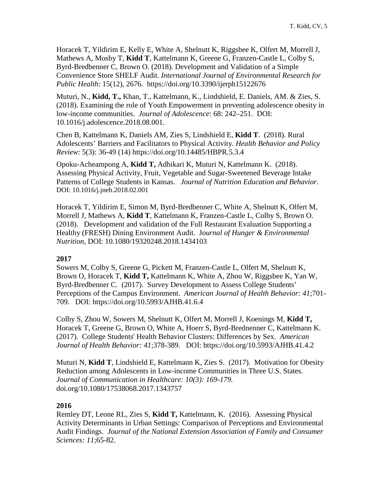Horacek T, Yildirim E, Kelly E, White A, Shelnutt K, Riggsbee K, Olfert M, Morrell J, Mathews A, Mosby T, **Kidd T**, Kattelmann K, Greene G, Franzen-Castle L, Colby S, Byrd-Bredbenner C, Brown O. (2018). Development and Validation of a Simple Convenience Store SHELF Audit. *International Journal of Environmental Research for Public Health*: 15(12), 2676. https://doi.org/10.3390/ijerph15122676

Muturi, N., **Kidd, T.,** Khan, T., Kattelmann, K., Lindshield, E. Daniels, AM. & Zies, S. (2018). Examining the role of Youth Empowerment in preventing adolescence obesity in low-income communities. *Journal of Adolescence*: 68: 242–251. DOI: 10.1016/j.adolescence.2018.08.001.

Chen B, Kattelmann K, Daniels AM, Zies S, Lindshield E, **Kidd T**. (2018). Rural Adolescents' Barriers and Facilitators to Physical Activity. *Health Behavior and Policy Review*: 5(3): 36-49 (14) https://doi.org/10.14485/HBPR.5.3.4

Opoku-Acheampong A, **Kidd T,** Adhikari K, Muturi N, Kattelmann K. (2018). Assessing Physical Activity, Fruit, Vegetable and Sugar-Sweetened Beverage Intake Patterns of College Students in Kansas. *Journal of Nutrition Education and Behavior*. DOI: 10.1016/j.jneb.2018.02.001

Horacek T, Yildirim E, Simon M, Byrd-Bredbenner C, White A, Shelnutt K, Olfert M, Morrell J, Mathews A, **Kidd T**, Kattelmann K, Franzen-Castle L, Colby S, Brown O. (2018). Development and validation of the Full Restaurant Evaluation Supporting a Healthy (FRESH) Dining Environment Audit. J*ournal of Hunger & Environmental Nutrition*, DOI: 10.1080/19320248.2018.1434103

### **2017**

Sowers M, Colby S, Greene G, Pickett M, Franzen-Castle L, Olfert M, Shelnutt K, Brown O, Horacek T, **Kidd T,** Kattelmann K, White A, Zhou W, Riggsbee K, Yan W, Byrd-Bredbenner C. (2017). Survey Development to Assess College Students' Perceptions of the Campus Environment. *American Journal of Health Behavior: 41*;701- 709. DOI: <https://doi.org/10.5993/AJHB.41.6.4>

Colby S, Zhou W, Sowers M, Shelnutt K, Olfert M, Morrell J, Koenings M, **Kidd T,** Horacek T, Greene G, Brown O, White A, Hoerr S, Byrd-Brednenner C, Kattelmann K. (2017). College Students' Health Behavior Clusters: Differences by Sex. *American Journal of Health Behavior: 41*;378-389. DOI: https://doi.org/10.5993/AJHB.41.4.2

Muturi N, **Kidd T**, Lindshield E, Kattelmann K, Zies S. (2017). Motivation for Obesity Reduction among Adolescents in Low-income Communities in Three U.S. States. *Journal of Communication in Healthcare: 10(3): 169-179.* doi.org/10.1080/17538068.2017.1343757

### **2016**

Remley DT, Leone RL, Zies S, **Kidd T,** Kattelmann, K. (2016). Assessing Physical Activity Determinants in Urban Settings: Comparison of Perceptions and Environmental Audit Findings. *Journal of the National Extension Association of Family and Consumer Sciences: 11*;65-82.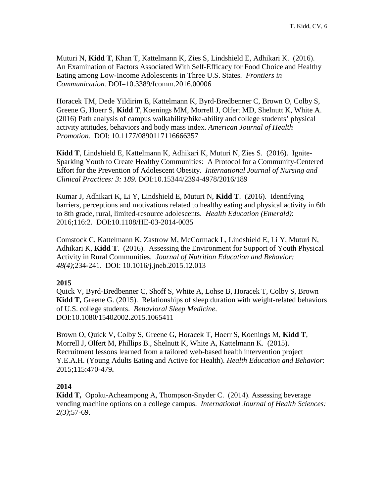Muturi N, **Kidd T**, Khan T, Kattelmann K, Zies S, Lindshield E, Adhikari K. (2016). An Examination of Factors Associated With Self-Efficacy for Food Choice and Healthy Eating among Low-Income Adolescents in Three U.S. States. *Frontiers in Communication.* DOI=10.3389/fcomm.2016.00006

Horacek TM, Dede Yildirim E, Kattelmann K, Byrd-Bredbenner C, Brown O, Colby S, Greene G, Hoerr S, **Kidd T**, Koenings MM, Morrell J, Olfert MD, Shelnutt K, White A. (2016) Path analysis of campus walkability/bike-ability and college students' physical activity attitudes, behaviors and body mass index. *American Journal of Health Promotion.* DOI: 10.1177/0890117116666357

**Kidd T**, Lindshield E, Kattelmann K, Adhikari K, Muturi N, Zies S. (2016). Ignite-Sparking Youth to Create Healthy Communities: A Protocol for a Community-Centered Effort for the Prevention of Adolescent Obesity. *International Journal of Nursing and Clinical Practices: 3: 189.* DOI:10.15344/2394-4978/2016/189

Kumar J, Adhikari K, Li Y, Lindshield E, Muturi N, **Kidd T**. (2016). Identifying barriers, perceptions and motivations related to healthy eating and physical activity in 6th to 8th grade, rural, limited-resource adolescents. *Health Education (Emerald)*: 2016;116:2. DOI:10.1108/HE-03-2014-0035

Comstock C, Kattelmann K, Zastrow M, McCormack L, Lindshield E, Li Y, Muturi N, Adhikari K, **Kidd T**. (2016). Assessing the Environment for Support of Youth Physical Activity in Rural Communities. *Journal of Nutrition Education and Behavior: 48(4)*;234-241. DOI: 10.1016/j.jneb.2015.12.013

### **2015**

Quick V, Byrd-Bredbenner C, Shoff S, White A, Lohse B, Horacek T, Colby S, Brown **Kidd T,** Greene G. (2015). Relationships of sleep duration with weight-related behaviors of U.S. college students. *Behavioral Sleep Medicine*. DOI:10.1080/15402002.2015.1065411

Brown O, Quick V, Colby S, Greene G, Horacek T, Hoerr S, Koenings M, **Kidd T**, Morrell J, Olfert M, Phillips B., Shelnutt K, White A, Kattelmann K. (2015). Recruitment lessons learned from a tailored web-based health intervention project Y.E.A.H. (Young Adults Eating and Active for Health). *Health Education and Behavior*: 2015;115:470-479**.**

### **2014**

**Kidd T,** Opoku-Acheampong A, Thompson-Snyder C. (2014). Assessing beverage vending machine options on a college campus. *International Journal of Health Sciences: 2(3)*;57-69.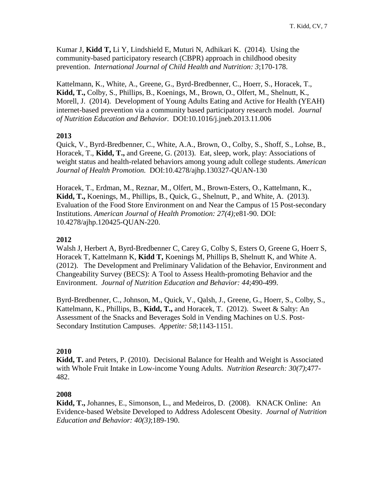Kumar J, **Kidd T,** Li Y, Lindshield E, Muturi N, Adhikari K. (2014). Using the community-based participatory research (CBPR) approach in childhood obesity prevention. *International Journal of Child Health and Nutrition: 3*;170-178.

Kattelmann, K., White, A., Greene, G., Byrd-Bredbenner, C., Hoerr, S., Horacek, T., **Kidd, T.,** Colby, S., Phillips, B., Koenings, M., Brown, O., Olfert, M., Shelnutt, K., Morell, J. (2014). Development of Young Adults Eating and Active for Health (YEAH) internet-based prevention via a community based participatory research model. *Journal of Nutrition Education and Behavior.* DOI:10.1016/j.jneb.2013.11.006

### **2013**

Quick, V., Byrd-Bredbenner, C., White, A.A., Brown, O., Colby, S., Shoff, S., Lohse, B., Horacek, T., **Kidd, T.,** and Greene, G. (2013). Eat, sleep, work, play: Associations of weight status and health-related behaviors among young adult college students. *American Journal of Health Promotion.* DOI:10.4278/ajhp.130327-QUAN-130

Horacek, T., Erdman, M., Reznar, M., Olfert, M., Brown-Esters, O., Kattelmann, K., **Kidd, T.,** Koenings, M., Phillips, B., Quick, G., Shelnutt, P., and White, A. (2013). Evaluation of the Food Store Environment on and Near the Campus of 15 Post-secondary Institutions. *American Journal of Health Promotion: 27(4);*e81-90. DOI: 10.4278/ajhp.120425-QUAN-220.

### **2012**

Walsh J, Herbert A, Byrd-Bredbenner C, Carey G, Colby S, Esters O, Greene G, Hoerr S, Horacek T, Kattelmann K, **Kidd T,** Koenings M, Phillips B, Shelnutt K, and White A. (2012). The Development and Preliminary Validation of the Behavior, Environment and Changeability Survey (BECS): A Tool to Assess Health-promoting Behavior and the Environment. *Journal of Nutrition Education and Behavior: 44*;490-499.

Byrd-Bredbenner, C., Johnson, M., Quick, V., Qalsh, J., Greene, G., Hoerr, S., Colby, S., Kattelmann, K., Phillips, B., **Kidd, T.,** and Horacek, T. (2012). Sweet & Salty: An Assessment of the Snacks and Beverages Sold in Vending Machines on U.S. Post-Secondary Institution Campuses. *Appetite: 58*;1143-1151.

## **2010**

**Kidd, T.** and Peters, P. (2010). Decisional Balance for Health and Weight is Associated with Whole Fruit Intake in Low-income Young Adults. *Nutrition Research: 30(7)*;477- 482.

### **2008**

**Kidd, T.,** Johannes, E., Simonson, L., and Medeiros, D. (2008). KNACK Online: An Evidence-based Website Developed to Address Adolescent Obesity. *Journal of Nutrition Education and Behavior: 40(3)*;189-190.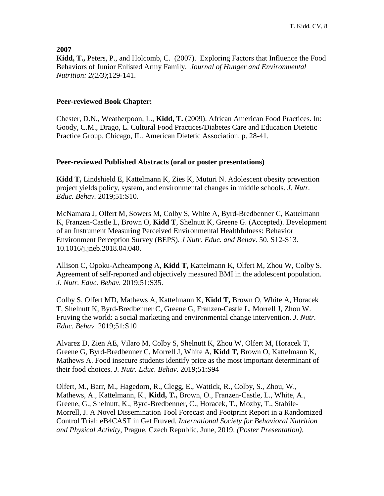**2007**

**Kidd, T.,** Peters, P., and Holcomb, C. (2007). Exploring Factors that Influence the Food Behaviors of Junior Enlisted Army Family. *Journal of Hunger and Environmental Nutrition: 2(2/3)*;129-141.

### **Peer-reviewed Book Chapter:**

Chester, D.N., Weatherpoon, L., **Kidd, T.** (2009). African American Food Practices. In: Goody, C.M., Drago, L. Cultural Food Practices/Diabetes Care and Education Dietetic Practice Group. Chicago, IL. American Dietetic Association. p. 28-41.

### **Peer-reviewed Published Abstracts (oral or poster presentations)**

**Kidd T,** Lindshield E, Kattelmann K, Zies K, Muturi N. Adolescent obesity prevention project yields policy, system, and environmental changes in middle schools. *J. Nutr. Educ. Behav.* 2019;51:S10.

McNamara J, Olfert M, Sowers M, Colby S, White A, Byrd-Bredbenner C, Kattelmann K, Franzen-Castle L, Brown O, **Kidd T**, Shelnutt K, Greene G. (Accepted). Development of an Instrument Measuring Perceived Environmental Healthfulness: Behavior Environment Perception Survey (BEPS). *J Nutr. Educ. and Behav*. 50. S12-S13. 10.1016/j.jneb.2018.04.040.

Allison C, Opoku-Acheampong A, **Kidd T,** Kattelmann K, Olfert M, Zhou W, Colby S. Agreement of self-reported and objectively measured BMI in the adolescent population. *J. Nutr. Educ. Behav.* 2019;51:S35.

Colby S, Olfert MD, Mathews A, Kattelmann K, **Kidd T,** Brown O, White A, Horacek T, Shelnutt K, Byrd-Bredbenner C, Greene G, Franzen-Castle L, Morrell J, Zhou W. Fruving the world: a social marketing and environmental change intervention. *J. Nutr. Educ. Behav.* 2019;51:S10

Alvarez D, Zien AE, Vilaro M, Colby S, Shelnutt K, Zhou W, Olfert M, Horacek T, Greene G, Byrd-Bredbenner C, Morrell J, White A, **Kidd T,** Brown O, Kattelmann K, Mathews A. Food insecure students identify price as the most important determinant of their food choices. *J. Nutr. Educ. Behav.* 2019;51:S94

Olfert, M., Barr, M., Hagedorn, R., Clegg, E., Wattick, R., Colby, S., Zhou, W., Mathews, A., Kattelmann, K., **Kidd, T.,** Brown, O., Franzen-Castle, L., White, A., Greene, G., Shelnutt, K., Byrd-Bredbenner, C., Horacek, T., Mozby, T., Stabile-Morrell, J. A Novel Dissemination Tool Forecast and Footprint Report in a Randomized Control Trial: eB4CAST in Get Fruved. *International Society for Behavioral Nutrition and Physical Activity*, Prague, Czech Republic. June, 2019. *(Poster Presentation).*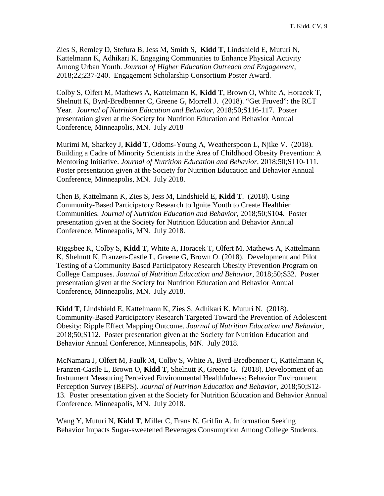Zies S, Remley D, Stefura B, Jess M, Smith S, **Kidd T**, Lindshield E, Muturi N, Kattelmann K, Adhikari K. Engaging Communities to Enhance Physical Activity Among Urban Youth. *Journal of Higher Education Outreach and Engagement*, 2018;22;237-240. Engagement Scholarship Consortium Poster Award.

Colby S, Olfert M, Mathews A, Kattelmann K, **Kidd T**, Brown O, White A, Horacek T, Shelnutt K, Byrd-Bredbenner C, Greene G, Morrell J. (2018). "Get Fruved": the RCT Year. *Journal of Nutrition Education and Behavior*, 2018;50;S116-117. Poster presentation given at the Society for Nutrition Education and Behavior Annual Conference, Minneapolis, MN. July 2018

Murimi M, Sharkey J, **Kidd T**, Odoms-Young A, Weatherspoon L, Njike V. (2018). Building a Cadre of Minority Scientists in the Area of Childhood Obesity Prevention: A Mentoring Initiative. *Journal of Nutrition Education and Behavior*, 2018;50;S110-111. Poster presentation given at the Society for Nutrition Education and Behavior Annual Conference, Minneapolis, MN. July 2018.

Chen B, Kattelmann K, Zies S, Jess M, Lindshield E, **Kidd T**. (2018). Using Community-Based Participatory Research to Ignite Youth to Create Healthier Communities. *Journal of Nutrition Education and Behavior*, 2018;50;S104. Poster presentation given at the Society for Nutrition Education and Behavior Annual Conference, Minneapolis, MN. July 2018.

Riggsbee K, Colby S, **Kidd T**, White A, Horacek T, Olfert M, Mathews A, Kattelmann K, Shelnutt K, Franzen-Castle L, Greene G, Brown O. (2018). Development and Pilot Testing of a Community Based Participatory Research Obesity Prevention Program on College Campuses. *Journal of Nutrition Education and Behavior*, 2018;50;S32. Poster presentation given at the Society for Nutrition Education and Behavior Annual Conference, Minneapolis, MN. July 2018.

**Kidd T**, Lindshield E, Kattelmann K, Zies S, Adhikari K, Muturi N. (2018). Community-Based Participatory Research Targeted Toward the Prevention of Adolescent Obesity: Ripple Effect Mapping Outcome. *Journal of Nutrition Education and Behavior*, 2018;50;S112. Poster presentation given at the Society for Nutrition Education and Behavior Annual Conference, Minneapolis, MN. July 2018.

McNamara J, Olfert M, Faulk M, Colby S, White A, Byrd-Bredbenner C, Kattelmann K, Franzen-Castle L, Brown O, **Kidd T**, Shelnutt K, Greene G. (2018). Development of an Instrument Measuring Perceived Environmental Healthfulness: Behavior Environment Perception Survey (BEPS). *Journal of Nutrition Education and Behavior*, 2018;50;S12- 13. Poster presentation given at the Society for Nutrition Education and Behavior Annual Conference, Minneapolis, MN. July 2018.

Wang Y, Muturi N, **Kidd T**, Miller C, Frans N, Griffin A. Information Seeking Behavior Impacts Sugar-sweetened Beverages Consumption Among College Students.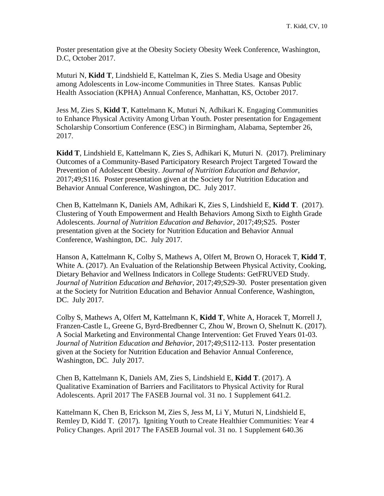Poster presentation give at the Obesity Society Obesity Week Conference, Washington, D.C, October 2017.

Muturi N, **Kidd T**, Lindshield E, Kattelman K, Zies S. Media Usage and Obesity among Adolescents in Low-income Communities in Three States. Kansas Public Health Association (KPHA) Annual Conference, Manhattan, KS, October 2017.

Jess M, Zies S, **Kidd T**, Kattelmann K, Muturi N, Adhikari K. Engaging Communities to Enhance Physical Activity Among Urban Youth. Poster presentation for Engagement Scholarship Consortium Conference (ESC) in Birmingham, Alabama, September 26, 2017.

**Kidd T**, Lindshield E, Kattelmann K, Zies S, Adhikari K, Muturi N. (2017). Preliminary Outcomes of a Community-Based Participatory Research Project Targeted Toward the Prevention of Adolescent Obesity. *Journal of Nutrition Education and Behavior*, 2017;49;S116. Poster presentation given at the Society for Nutrition Education and Behavior Annual Conference, Washington, DC. July 2017.

Chen B, Kattelmann K, Daniels AM, Adhikari K, Zies S, Lindshield E, **Kidd T**. (2017). Clustering of Youth Empowerment and Health Behaviors Among Sixth to Eighth Grade Adolescents. *Journal of Nutrition Education and Behavior*, 2017;49;S25. Poster presentation given at the Society for Nutrition Education and Behavior Annual Conference, Washington, DC. July 2017.

Hanson A, Kattelmann K, Colby S, Mathews A, Olfert M, Brown O, Horacek T, **Kidd T**, White A. (2017). An Evaluation of the Relationship Between Physical Activity, Cooking, Dietary Behavior and Wellness Indicators in College Students: GetFRUVED Study. *Journal of Nutrition Education and Behavior*, 2017;49;S29-30. Poster presentation given at the Society for Nutrition Education and Behavior Annual Conference, Washington, DC. July 2017.

Colby S, Mathews A, Olfert M, Kattelmann K, **Kidd T**, White A, Horacek T, Morrell J, Franzen-Castle L, Greene G, Byrd-Bredbenner C, Zhou W, Brown O, Shelnutt K. (2017). A Social Marketing and Environmental Change Intervention: Get Fruved Years 01-03. *Journal of Nutrition Education and Behavior*, 2017;49;S112-113. Poster presentation given at the Society for Nutrition Education and Behavior Annual Conference, Washington, DC. July 2017.

Chen B, Kattelmann K, Daniels AM, Zies S, Lindshield E, **Kidd T**. (2017). A Qualitative Examination of Barriers and Facilitators to Physical Activity for Rural Adolescents. April 2017 The FASEB Journal vol. 31 no. 1 Supplement 641.2.

Kattelmann K, Chen B, Erickson M, Zies S, Jess M, Li Y, Muturi N, Lindshield E, Remley D, Kidd T. (2017). Igniting Youth to Create Healthier Communities: Year 4 Policy Changes. April 2017 The FASEB Journal vol. 31 no. 1 Supplement 640.36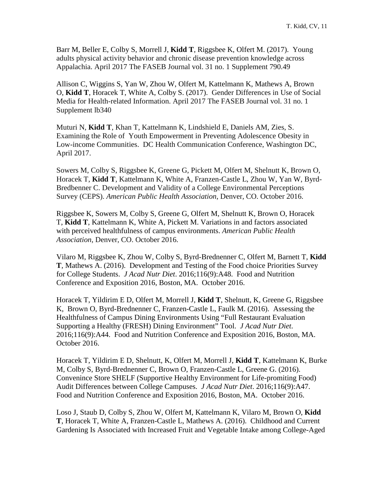Barr M, Beller E, Colby S, Morrell J, **Kidd T**, Riggsbee K, Olfert M. (2017). Young adults physical activity behavior and chronic disease prevention knowledge across Appalachia. April 2017 The FASEB Journal vol. 31 no. 1 Supplement 790.49

Allison C, Wiggins S, Yan W, Zhou W, Olfert M, Kattelmann K, Mathews A, Brown O, **Kidd T**, Horacek T, White A, Colby S. (2017). Gender Differences in Use of Social Media for Health-related Information. April 2017 The FASEB Journal vol. 31 no. 1 Supplement lb340

Muturi N, **Kidd T**, Khan T, Kattelmann K, Lindshield E, Daniels AM, Zies, S. Examining the Role of Youth Empowerment in Preventing Adolescence Obesity in Low-income Communities. DC Health Communication Conference, Washington DC, April 2017.

Sowers M, Colby S, Riggsbee K, Greene G, Pickett M, Olfert M, Shelnutt K, Brown O, Horacek T, **Kidd T**, Kattelmann K, White A, Franzen-Castle L, Zhou W, Yan W, Byrd-Bredbenner C. Development and Validity of a College Environmental Perceptions Survey (CEPS). *American Public Health Association*, Denver, CO. October 2016.

Riggsbee K, Sowers M, Colby S, Greene G, Olfert M, Shelnutt K, Brown O, Horacek T, **Kidd T**, Kattelmann K, White A, Pickett M. Variations in and factors associated with perceived healthfulness of campus environments. *American Public Health Association*, Denver, CO. October 2016.

Vilaro M, Riggsbee K, Zhou W, Colby S, Byrd-Brednenner C, Olfert M, Barnett T, **Kidd T**, Mathews A. (2016). Development and Testing of the Food choice Priorities Survey for College Students. *J Acad Nutr Diet*. 2016;116(9):A48. Food and Nutrition Conference and Exposition 2016, Boston, MA. October 2016.

Horacek T, Yildirim E D, Olfert M, Morrell J, **Kidd T**, Shelnutt, K, Greene G, Riggsbee K, Brown O, Byrd-Brednenner C, Franzen-Castle L, Faulk M. (2016). Assessing the Healthfulness of Campus Dining Environments Using "Full Restaurant Evaluation Supporting a Healthy (FRESH) Dining Environment" Tool. *J Acad Nutr Diet*. 2016;116(9):A44. Food and Nutrition Conference and Exposition 2016, Boston, MA. October 2016.

Horacek T, Yildirim E D, Shelnutt, K, Olfert M, Morrell J, **Kidd T**, Kattelmann K, Burke M, Colby S, Byrd-Brednenner C, Brown O, Franzen-Castle L, Greene G. (2016). Convenince Store SHELF (Supportive Healthy Environment for Life-promiting Food) Audit Differences between College Campuses. *J Acad Nutr Diet*. 2016;116(9):A47. Food and Nutrition Conference and Exposition 2016, Boston, MA. October 2016.

Loso J, Staub D, Colby S, Zhou W, Olfert M, Kattelmann K, Vilaro M, Brown O, **Kidd T**, Horacek T, White A, Franzen-Castle L, Mathews A. (2016). Childhood and Current Gardening Is Associated with Increased Fruit and Vegetable Intake among College-Aged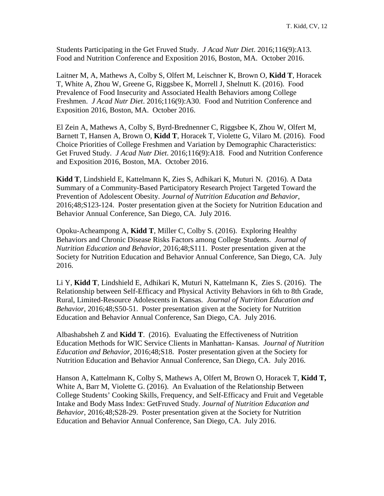Students Participating in the Get Fruved Study. *J Acad Nutr Diet*. 2016;116(9):A13. Food and Nutrition Conference and Exposition 2016, Boston, MA. October 2016.

Laitner M, A, Mathews A, Colby S, Olfert M, Leischner K, Brown O, **Kidd T**, Horacek T, White A, Zhou W, Greene G, Riggsbee K, Morrell J, Shelnutt K. (2016). Food Prevalence of Food Insecurity and Associated Health Behaviors among College Freshmen. *J Acad Nutr Diet*. 2016;116(9):A30. Food and Nutrition Conference and Exposition 2016, Boston, MA. October 2016.

El Zein A, Mathews A, Colby S, Byrd-Brednenner C, Riggsbee K, Zhou W, Olfert M, Barnett T, Hansen A, Brown O, **Kidd T**, Horacek T, Violette G, Vilaro M. (2016). Food Choice Priorities of College Freshmen and Variation by Demographic Characteristics: Get Fruved Study. *J Acad Nutr Diet*. 2016;116(9):A18. Food and Nutrition Conference and Exposition 2016, Boston, MA. October 2016.

**Kidd T**, Lindshield E, Kattelmann K, Zies S, Adhikari K, Muturi N. (2016). A Data Summary of a Community-Based Participatory Research Project Targeted Toward the Prevention of Adolescent Obesity. *Journal of Nutrition Education and Behavior*, 2016;48;S123-124. Poster presentation given at the Society for Nutrition Education and Behavior Annual Conference, San Diego, CA. July 2016.

Opoku-Acheampong A, **Kidd T**, Miller C, Colby S. (2016). Exploring Healthy Behaviors and Chronic Disease Risks Factors among College Students. *Journal of Nutrition Education and Behavior*, 2016;48;S111. Poster presentation given at the Society for Nutrition Education and Behavior Annual Conference, San Diego, CA. July 2016.

Li Y, **Kidd T**, Lindshield E, Adhikari K, Muturi N, Kattelmann K, Zies S. (2016). The Relationship between Self-Efficacy and Physical Activity Behaviors in 6th to 8th Grade, Rural, Limited-Resource Adolescents in Kansas. *Journal of Nutrition Education and Behavior*, 2016;48;S50-51. Poster presentation given at the Society for Nutrition Education and Behavior Annual Conference, San Diego, CA. July 2016.

Albashabsheh Z and **Kidd T**. (2016). Evaluating the Effectiveness of Nutrition Education Methods for WIC Service Clients in Manhattan- Kansas. *Journal of Nutrition Education and Behavior*, 2016;48;S18. Poster presentation given at the Society for Nutrition Education and Behavior Annual Conference, San Diego, CA. July 2016.

Hanson A, Kattelmann K, Colby S, Mathews A, Olfert M, Brown O, Horacek T, **Kidd T,** White A, Barr M, Violette G. (2016). An Evaluation of the Relationship Between College Students' Cooking Skills, Frequency, and Self-Efficacy and Fruit and Vegetable Intake and Body Mass Index: GetFruved Study. *Journal of Nutrition Education and Behavior*, 2016;48;S28-29. Poster presentation given at the Society for Nutrition Education and Behavior Annual Conference, San Diego, CA. July 2016.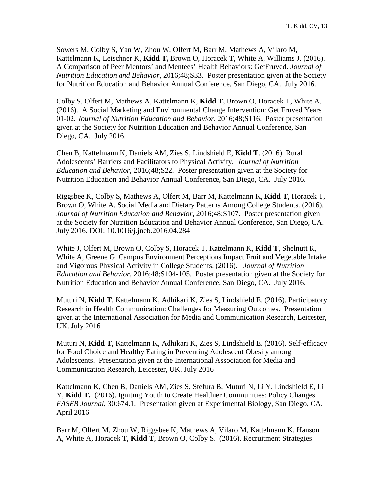Sowers M, Colby S, Yan W, Zhou W, Olfert M, Barr M, Mathews A, Vilaro M, Kattelmann K, Leischner K, **Kidd T,** Brown O, Horacek T, White A, Williams J. (2016). A Comparison of Peer Mentors' and Mentees' Health Behaviors: GetFruved. *Journal of Nutrition Education and Behavior*, 2016;48;S33. Poster presentation given at the Society for Nutrition Education and Behavior Annual Conference, San Diego, CA. July 2016.

Colby S, Olfert M, Mathews A, Kattelmann K, **Kidd T,** Brown O, Horacek T, White A. (2016). A Social Marketing and Environmental Change Intervention: Get Fruved Years 01-02. *Journal of Nutrition Education and Behavior*, 2016;48;S116. Poster presentation given at the Society for Nutrition Education and Behavior Annual Conference, San Diego, CA. July 2016.

Chen B, Kattelmann K, Daniels AM, Zies S, Lindshield E, **Kidd T**. (2016). Rural Adolescents' Barriers and Facilitators to Physical Activity. *Journal of Nutrition Education and Behavior*, 2016;48;S22. Poster presentation given at the Society for Nutrition Education and Behavior Annual Conference, San Diego, CA. July 2016.

Riggsbee K, Colby S, Mathews A, Olfert M, Barr M, Kattelmann K, **Kidd T**, Horacek T, Brown O, White A. Social Media and Dietary Patterns Among College Students. (2016). *Journal of Nutrition Education and Behavior*, 2016;48;S107. Poster presentation given at the Society for Nutrition Education and Behavior Annual Conference, San Diego, CA. July 2016. DOI: 10.1016/j.jneb.2016.04.284

White J, Olfert M, Brown O, Colby S, Horacek T, Kattelmann K, **Kidd T**, Shelnutt K, White A, Greene G. Campus Environment Perceptions Impact Fruit and Vegetable Intake and Vigorous Physical Activity in College Students. (2016). *Journal of Nutrition Education and Behavior*, 2016;48;S104-105. Poster presentation given at the Society for Nutrition Education and Behavior Annual Conference, San Diego, CA. July 2016.

Muturi N, **Kidd T**, Kattelmann K, Adhikari K, Zies S, Lindshield E. (2016). Participatory Research in Health Communication: Challenges for Measuring Outcomes. Presentation given at the International Association for Media and Communication Research, Leicester, UK. July 2016

Muturi N, **Kidd T**, Kattelmann K, Adhikari K, Zies S, Lindshield E. (2016). Self-efficacy for Food Choice and Healthy Eating in Preventing Adolescent Obesity among Adolescents. Presentation given at the International Association for Media and Communication Research, Leicester, UK. July 2016

Kattelmann K, Chen B, Daniels AM, Zies S, Stefura B, Muturi N, Li Y, Lindshield E, Li Y, **Kidd T.** (2016). Igniting Youth to Create Healthier Communities: Policy Changes. *FASEB Journal*, 30:674.1. Presentation given at Experimental Biology, San Diego, CA. April 2016

Barr M, Olfert M, Zhou W, Riggsbee K, Mathews A, Vilaro M, Kattelmann K, Hanson A, White A, Horacek T, **Kidd T**, Brown O, Colby S. (2016). Recruitment Strategies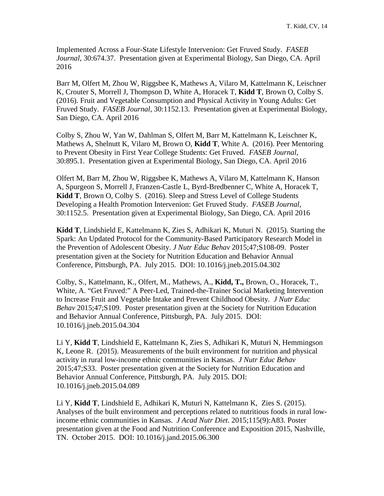Implemented Across a Four-State Lifestyle Intervenion: Get Fruved Study. *FASEB Journal*, 30:674.37. Presentation given at Experimental Biology, San Diego, CA. April 2016

Barr M, Olfert M, Zhou W, Riggsbee K, Mathews A, Vilaro M, Kattelmann K, Leischner K, Crouter S, Morrell J, Thompson D, White A, Horacek T, **Kidd T**, Brown O, Colby S. (2016). Fruit and Vegetable Consumption and Physical Activity in Young Adults: Get Fruved Study. *FASEB Journal*, 30:1152.13. Presentation given at Experimental Biology, San Diego, CA. April 2016

Colby S, Zhou W, Yan W, Dahlman S, Olfert M, Barr M, Kattelmann K, Leischner K, Mathews A, Shelnutt K, Vilaro M, Brown O, **Kidd T**, White A. (2016). Peer Mentoring to Prevent Obesity in First Year College Students: Get Fruved. *FASEB Journal*, 30:895.1. Presentation given at Experimental Biology, San Diego, CA. April 2016

Olfert M, Barr M, Zhou W, Riggsbee K, Mathews A, Vilaro M, Kattelmann K, Hanson A, Spurgeon S, Morrell J, Franzen-Castle L, Byrd-Bredbenner C, White A, Horacek T, **Kidd T**, Brown O, Colby S. (2016). Sleep and Stress Level of College Students Developing a Health Promotion Intervenion: Get Fruved Study. *FASEB Journal*, 30:1152.5. Presentation given at Experimental Biology, San Diego, CA. April 2016

**Kidd T**, Lindshield E, Kattelmann K, Zies S, Adhikari K, Muturi N. (2015). Starting the Spark: An Updated Protocol for the Community-Based Participatory Research Model in the Prevention of Adolescent Obesity. *J Nutr Educ Behav* 2015;47;S108-09. Poster presentation given at the Society for Nutrition Education and Behavior Annual Conference, Pittsburgh, PA. July 2015. DOI: 10.1016/j.jneb.2015.04.302

Colby, S., Kattelmann, K., Olfert, M., Mathews, A., **Kidd, T.,** Brown, O., Horacek, T., White, A. "Get Fruved:" A Peer-Led, Trained-the-Trainer Social Marketing Intervention to Increase Fruit and Vegetable Intake and Prevent Childhood Obesity. *J Nutr Educ Behav* 2015;47;S109. Poster presentation given at the Society for Nutrition Education and Behavior Annual Conference, Pittsburgh, PA. July 2015. DOI: 10.1016/j.jneb.2015.04.304

Li Y, **Kidd T**, Lindshield E, Kattelmann K, Zies S, Adhikari K, Muturi N, Hemmingson K, Leone R. (2015). Measurements of the built environment for nutrition and physical activity in rural low-income ethnic communities in Kansas. *J Nutr Educ Behav* 2015;47;S33. Poster presentation given at the Society for Nutrition Education and Behavior Annual Conference, Pittsburgh, PA. July 2015. DOI: 10.1016/j.jneb.2015.04.089

Li Y, **Kidd T**, Lindshield E, Adhikari K, Muturi N, Kattelmann K, Zies S. (2015). Analyses of the built environment and perceptions related to nutritious foods in rural lowincome ethnic communities in Kansas. *J Acad Nutr Diet*. 2015;115(9):A83. Poster presentation given at the Food and Nutrition Conference and Exposition 2015, Nashville, TN. October 2015. DOI: 10.1016/j.jand.2015.06.300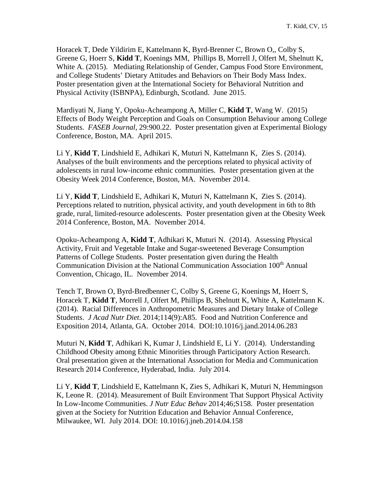Horacek T, Dede Yildirim E, Kattelmann K, Byrd-Brenner C, Brown O,, Colby S, Greene G, Hoerr S, **Kidd T**, Koenings MM, Phillips B, Morrell J, Olfert M, Shelnutt K, White A. (2015). Mediating Relationship of Gender, Campus Food Store Environment, and College Students' Dietary Attitudes and Behaviors on Their Body Mass Index. Poster presentation given at the International Society for Behavioral Nutrition and Physical Activity (ISBNPA), Edinburgh, Scotland. June 2015.

Mardiyati N, Jiang Y, Opoku-Acheampong A, Miller C, **Kidd T**, Wang W. (2015) Effects of Body Weight Perception and Goals on Consumption Behaviour among College Students. *FASEB Journal*, 29:900.22. Poster presentation given at Experimental Biology Conference, Boston, MA. April 2015.

Li Y, **Kidd T**, Lindshield E, Adhikari K, Muturi N, Kattelmann K, Zies S. (2014). Analyses of the built environments and the perceptions related to physical activity of adolescents in rural low-income ethnic communities. Poster presentation given at the Obesity Week 2014 Conference, Boston, MA. November 2014.

Li Y, **Kidd T**, Lindshield E, Adhikari K, Muturi N, Kattelmann K, Zies S. (2014). Perceptions related to nutrition, physical activity, and youth development in 6th to 8th grade, rural, limited-resource adolescents. Poster presentation given at the Obesity Week 2014 Conference, Boston, MA. November 2014.

Opoku-Acheampong A, **Kidd T**, Adhikari K, Muturi N. (2014). Assessing Physical Activity, Fruit and Vegetable Intake and Sugar-sweetened Beverage Consumption Patterns of College Students. Poster presentation given during the Health Communication Division at the National Communication Association 100<sup>th</sup> Annual Convention, Chicago, IL. November 2014.

Tench T, Brown O, Byrd-Bredbenner C, Colby S, Greene G, Koenings M, Hoerr S, Horacek T, **Kidd T**, Morrell J, Olfert M, Phillips B, Shelnutt K, White A, Kattelmann K. (2014). Racial Differences in Anthropometric Measures and Dietary Intake of College Students. *J Acad Nutr Diet*. 2014;114(9):A85. Food and Nutrition Conference and Exposition 2014, Atlanta, GA. October 2014. DOI:10.1016/j.jand.2014.06.283

Muturi N, **Kidd T**, Adhikari K, Kumar J, Lindshield E, Li Y. (2014). Understanding Childhood Obesity among Ethnic Minorities through Participatory Action Research. Oral presentation given at the International Association for Media and Communication Research 2014 Conference, Hyderabad, India. July 2014.

Li Y, **Kidd T**, Lindshield E, Kattelmann K, Zies S, Adhikari K, Muturi N, Hemmingson K, Leone R. (2014). Measurement of Built Environment That Support Physical Activity In Low-Income Communities. *J Nutr Educ Behav* 2014;46;S158. Poster presentation given at the Society for Nutrition Education and Behavior Annual Conference, Milwaukee, WI. July 2014. DOI: 10.1016/j.jneb.2014.04.158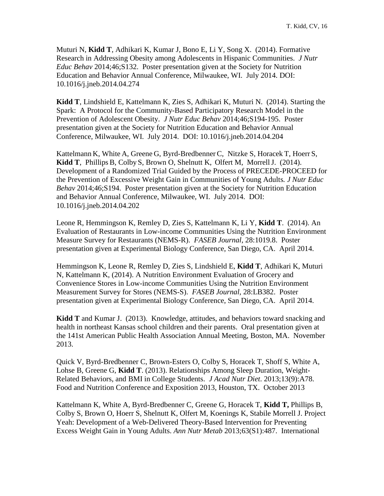Muturi N, **Kidd T**, Adhikari K, Kumar J, Bono E, Li Y, Song X. (2014). Formative Research in Addressing Obesity among Adolescents in Hispanic Communities. *J Nutr Educ Behav* 2014;46;S132. Poster presentation given at the Society for Nutrition Education and Behavior Annual Conference, Milwaukee, WI. July 2014. DOI: 10.1016/j.jneb.2014.04.274

**Kidd T**, Lindshield E, Kattelmann K, Zies S, Adhikari K, Muturi N. (2014). Starting the Spark: A Protocol for the Community-Based Participatory Research Model in the Prevention of Adolescent Obesity. *J Nutr Educ Behav* 2014;46;S194-195. Poster presentation given at the Society for Nutrition Education and Behavior Annual Conference, Milwaukee, WI. July 2014. DOI: 10.1016/j.jneb.2014.04.204

Kattelmann K, White A, Greene G, Byrd-Bredbenner C, Nitzke S, Horacek T, Hoerr S, **Kidd T**, Phillips B, Colby S, Brown O, Shelnutt K, Olfert M, MorrellJ. (2014). Development of a Randomized Trial Guided by the Process of PRECEDE-PROCEED for the Prevention of Excessive Weight Gain in Communities of Young Adults*. J Nutr Educ Behav* 2014;46;S194. Poster presentation given at the Society for Nutrition Education and Behavior Annual Conference, Milwaukee, WI. July 2014. DOI: 10.1016/j.jneb.2014.04.202

Leone R, Hemmingson K, Remley D, Zies S, Kattelmann K, Li Y, **Kidd T**. (2014). An Evaluation of Restaurants in Low-income Communities Using the Nutrition Environment Measure Survey for Restaurants (NEMS-R). *FASEB Journal*, 28:1019.8. Poster presentation given at Experimental Biology Conference, San Diego, CA. April 2014.

Hemmingson K, Leone R, Remley D, Zies S, Lindshield E, **Kidd T**, Adhikari K, Muturi N, Kattelmann K, (2014). A Nutrition Environment Evaluation of Grocery and Convenience Stores in Low-income Communities Using the Nutrition Environment Measurement Survey for Stores (NEMS-S). *FASEB Journal*, 28:LB382. Poster presentation given at Experimental Biology Conference, San Diego, CA. April 2014.

**Kidd T** and Kumar J. (2013). Knowledge, attitudes, and behaviors toward snacking and health in northeast Kansas school children and their parents. Oral presentation given at the 141st American Public Health Association Annual Meeting, Boston, MA. November 2013.

Quick V, Byrd-Bredbenner C, Brown-Esters O, Colby S, Horacek T, Shoff S, White A, Lohse B, Greene G, **Kidd T**. (2013). Relationships Among Sleep Duration, Weight-Related Behaviors, and BMI in College Students. *J Acad Nutr Diet*. 2013;13(9):A78. Food and Nutrition Conference and Exposition 2013, Houston, TX. October 2013

Kattelmann K, White A, Byrd-Bredbenner C, Greene G, Horacek T, **Kidd T,** Phillips B, Colby S, Brown O, Hoerr S, Shelnutt K, Olfert M, Koenings K, Stabile Morrell J. Project Yeah: Development of a Web-Delivered Theory-Based Intervention for Preventing Excess Weight Gain in Young Adults. *Ann Nutr Metab* 2013;63(S1):487. International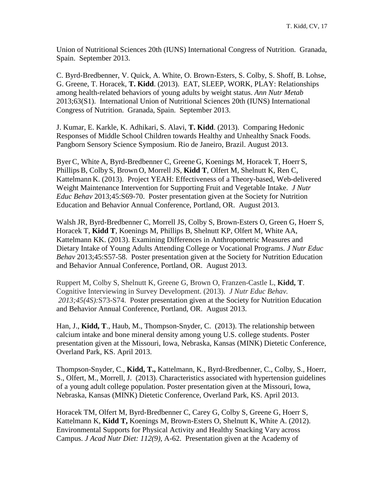Union of Nutritional Sciences 20th (IUNS) International Congress of Nutrition. Granada, Spain. September 2013.

C. Byrd-Bredbenner, V. Quick, A. White, O. Brown-Esters, S. Colby, S. Shoff, B. Lohse, G. Greene, T. Horacek, **T. Kidd**. (2013). EAT, SLEEP, WORK, PLAY: Relationships among health-related behaviors of young adults by weight status. *Ann Nutr Metab* 2013;63(S1). International Union of Nutritional Sciences 20th (IUNS) International Congress of Nutrition. Granada, Spain. September 2013.

J. Kumar, E. Karkle, K. Adhikari, S. Alavi, **T. Kidd**. (2013). Comparing Hedonic Responses of Middle School Children towards Healthy and Unhealthy Snack Foods. Pangborn Sensory Science Symposium. Rio de Janeiro, Brazil. August 2013.

Byer C, White A, Byrd-Bredbenner C, Greene G, Koenings M, Horacek T, Hoerr S, PhillipsB, Colby S, Brown O, Morrell JS, **Kidd T**, Olfert M, Shelnutt K, Ren C, Kattelmann K. (2013). Project YEAH: Effectiveness of a Theory-based, Web-delivered Weight Maintenance Intervention for Supporting Fruit and Vegetable Intake. *J Nutr Educ Behav* 2013;45:S69-70. Poster presentation given at the Society for Nutrition Education and Behavior Annual Conference, Portland, OR. August 2013.

Walsh JR, Byrd-Bredbenner C, Morrell JS, Colby S, Brown-Esters O, Green G, Hoerr S, Horacek T, **Kidd T**, Koenings M, Phillips B, Shelnutt KP, Olfert M, White AA, Kattelmann KK. (2013). Examining Differences in Anthropometric Measures and Dietary Intake of Young Adults Attending College or Vocational Programs. *J Nutr Educ Behav* 2013;45:S57-58. Poster presentation given at the Society for Nutrition Education and Behavior Annual Conference, Portland, OR. August 2013.

Ruppert M, Colby S, Shelnutt K, Greene G, Brown O, Franzen-Castle L, **Kidd, T**. Cognitive Interviewing in Survey Development. (2013). *J Nutr Educ Behav. 2013;45(4S):*S73-S74. Poster presentation given at the Society for Nutrition Education and Behavior Annual Conference, Portland, OR. August 2013.

Han, J., **Kidd, T**., Haub, M., Thompson-Snyder, C. (2013). The relationship between calcium intake and bone mineral density among young U.S. college students. Poster presentation given at the Missouri, Iowa, Nebraska, Kansas (MINK) Dietetic Conference, Overland Park, KS. April 2013.

Thompson-Snyder, C., **Kidd, T.,** Kattelmann, K., Byrd-Bredbenner, C., Colby, S., Hoerr, S., Olfert, M., Morrell, J. (2013). Characteristics associated with hypertension guidelines of a young adult college population. Poster presentation given at the Missouri, Iowa, Nebraska, Kansas (MINK) Dietetic Conference, Overland Park, KS. April 2013.

Horacek TM, Olfert M, Byrd-Bredbenner C, Carey G, Colby S, Greene G, Hoerr S, Kattelmann K, **Kidd T,** Koenings M, Brown-Esters O, Shelnutt K, White A. (2012). Environmental Supports for Physical Activity and Healthy Snacking Vary across Campus. *J Acad Nutr Diet: 112(9)*, A-62. Presentation given at the Academy of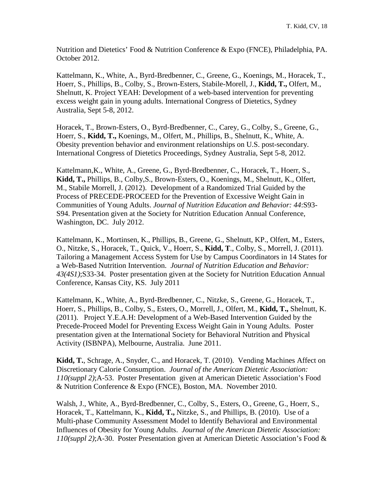Nutrition and Dietetics' Food & Nutrition Conference & Expo (FNCE), Philadelphia, PA. October 2012.

Kattelmann, K., White, A., Byrd-Bredbenner, C., Greene, G., Koenings, M., Horacek, T., Hoerr, S., Phillips, B., Colby, S., Brown-Esters, Stabile-Morell, J., **Kidd, T.,** Olfert, M., Shelnutt, K. Project YEAH: Development of a web-based intervention for preventing excess weight gain in young adults. International Congress of Dietetics, Sydney Australia, Sept 5-8, 2012.

Horacek, T., Brown-Esters, O., Byrd-Bredbenner, C., Carey, G., Colby, S., Greene, G., Hoerr, S., **Kidd, T.,** Koenings, M., Olfert, M., Phillips, B., Shelnutt, K., White, A. Obesity prevention behavior and environment relationships on U.S. post-secondary. International Congress of Dietetics Proceedings, Sydney Australia, Sept 5-8, 2012.

Kattelmann,K., White, A., Greene, G., Byrd-Bredbenner, C., Horacek, T., Hoerr, S., **Kidd, T.,** Phillips, B., Colby,S., Brown-Esters, O., Koenings, M., Shelnutt, K., Olfert, M., Stabile Morrell, J. (2012). Development of a Randomized Trial Guided by the Process of PRECEDE-PROCEED for the Prevention of Excessive Weight Gain in Communities of Young Adults. *Journal of Nutrition Education and Behavior: 44*:S93- S94. Presentation given at the Society for Nutrition Education Annual Conference, Washington, DC. July 2012.

Kattelmann, K., Mortinsen, K., Phillips, B., Greene, G., Shelnutt, KP., Olfert, M., Esters, O., Nitzke, S., Horacek, T., Quick, V., Hoerr, S., **Kidd, T**., Colby, S., Morrell, J. (2011). Tailoring a Management Access System for Use by Campus Coordinators in 14 States for a Web-Based Nutrition Intervention. *Journal of Nutrition Education and Behavior: 43(4S1)*;S33-34. Poster presentation given at the Society for Nutrition Education Annual Conference, Kansas City, KS. July 2011

Kattelmann, K., White, A., Byrd-Bredbenner, C., Nitzke, S., Greene, G., Horacek, T., Hoerr, S., Phillips, B., Colby, S., Esters, O., Morrell, J., Olfert, M., **Kidd, T.,** Shelnutt, K. (2011). Project Y.E.A.H: Development of a Web-Based Intervention Guided by the Precede-Proceed Model for Preventing Excess Weight Gain in Young Adults. Poster presentation given at the International Society for Behavioral Nutrition and Physical Activity (ISBNPA), Melbourne, Australia. June 2011.

**Kidd, T.**, Schrage, A., Snyder, C., and Horacek, T. (2010). Vending Machines Affect on Discretionary Calorie Consumption. *Journal of the American Dietetic Association: 110(suppl 2)*;A-53. Poster Presentation given at American Dietetic Association's Food & Nutrition Conference & Expo (FNCE), Boston, MA. November 2010.

Walsh, J., White, A., Byrd-Bredbenner, C., Colby, S., Esters, O., Greene, G., Hoerr, S., Horacek, T., Kattelmann, K., **Kidd, T.,** Nitzke, S., and Phillips, B. (2010). Use of a Multi-phase Community Assessment Model to Identify Behavioral and Environmental Influences of Obesity for Young Adults. *Journal of the American Dietetic Association: 110(suppl 2)*;A-30. Poster Presentation given at American Dietetic Association's Food &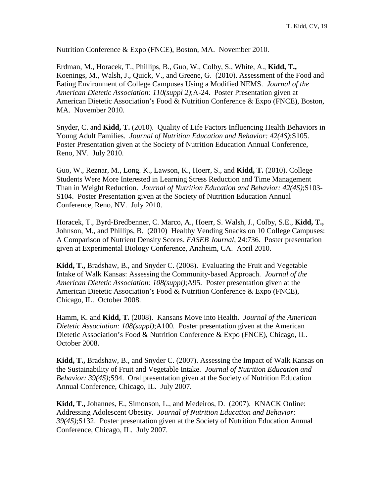Nutrition Conference & Expo (FNCE), Boston, MA. November 2010.

Erdman, M., Horacek, T., Phillips, B., Guo, W., Colby, S., White, A., **Kidd, T.,**  Koenings, M., Walsh, J., Quick, V., and Greene, G. (2010). Assessment of the Food and Eating Environment of College Campuses Using a Modified NEMS. *Journal of the American Dietetic Association: 110(suppl 2)*;A-24. Poster Presentation given at American Dietetic Association's Food & Nutrition Conference & Expo (FNCE), Boston, MA. November 2010.

Snyder, C. and **Kidd, T.** (2010). Quality of Life Factors Influencing Health Behaviors in Young Adult Families. *Journal of Nutrition Education and Behavior: 42(4S)*;S105. Poster Presentation given at the Society of Nutrition Education Annual Conference, Reno, NV. July 2010.

Guo, W., Reznar, M., Long. K., Lawson, K., Hoerr, S., and **Kidd, T.** (2010). College Students Were More Interested in Learning Stress Reduction and Time Management Than in Weight Reduction. *Journal of Nutrition Education and Behavior: 42(4S)*;S103- S104. Poster Presentation given at the Society of Nutrition Education Annual Conference, Reno, NV. July 2010.

Horacek, T., Byrd-Bredbenner, C. Marco, A., Hoerr, S. Walsh, J., Colby, S.E., **Kidd, T.,** Johnson, M., and Phillips, B. (2010) Healthy Vending Snacks on 10 College Campuses: A Comparison of Nutrient Density Scores. *FASEB Journal*, 24:736. Poster presentation given at Experimental Biology Conference, Anaheim, CA. April 2010.

**Kidd, T.,** Bradshaw, B., and Snyder C. (2008). Evaluating the Fruit and Vegetable Intake of Walk Kansas: Assessing the Community-based Approach. *Journal of the American Dietetic Association: 108(suppl)*;A95. Poster presentation given at the American Dietetic Association's Food & Nutrition Conference & Expo (FNCE), Chicago, IL. October 2008.

Hamm, K. and **Kidd, T.** (2008). Kansans Move into Health. *Journal of the American Dietetic Association: 108(suppl)*;A100. Poster presentation given at the American Dietetic Association's Food & Nutrition Conference & Expo (FNCE), Chicago, IL. October 2008.

**Kidd, T.,** Bradshaw, B., and Snyder C. (2007). Assessing the Impact of Walk Kansas on the Sustainability of Fruit and Vegetable Intake. *Journal of Nutrition Education and Behavior: 39(4S)*;S94. Oral presentation given at the Society of Nutrition Education Annual Conference, Chicago, IL. July 2007.

**Kidd, T.,** Johannes, E., Simonson, L., and Medeiros, D. (2007). KNACK Online: Addressing Adolescent Obesity. *Journal of Nutrition Education and Behavior: 39(4S)*;S132. Poster presentation given at the Society of Nutrition Education Annual Conference, Chicago, IL. July 2007.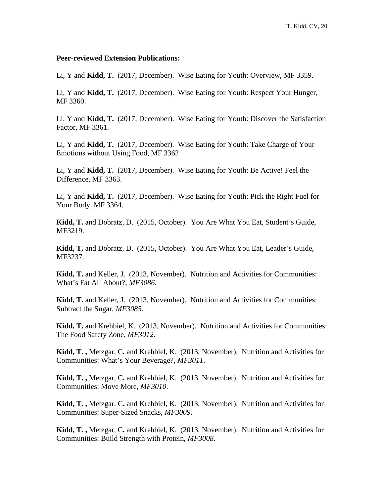#### **Peer-reviewed Extension Publications:**

Li, Y and **Kidd, T.** (2017, December). Wise Eating for Youth: Overview, MF 3359.

Li, Y and **Kidd, T.** (2017, December). Wise Eating for Youth: Respect Your Hunger, MF 3360.

Li, Y and **Kidd, T.** (2017, December). Wise Eating for Youth: Discover the Satisfaction Factor, MF 3361.

Li, Y and **Kidd, T.** (2017, December). Wise Eating for Youth: Take Charge of Your Emotions without Using Food, MF 3362

Li, Y and **Kidd, T.** (2017, December). Wise Eating for Youth: Be Active! Feel the Difference, MF 3363.

Li, Y and **Kidd, T.** (2017, December). Wise Eating for Youth: Pick the Right Fuel for Your Body, MF 3364.

**Kidd, T.** and Dobratz, D. (2015, October). You Are What You Eat, Student's Guide, MF3219.

**Kidd, T.** and Dobratz, D. (2015, October). You Are What You Eat, Leader's Guide, MF3237.

**Kidd, T.** and Keller, J. (2013, November). Nutrition and Activities for Communities: What's Fat All About?, *MF3086*.

**Kidd, T.** and Keller, J. (2013, November). Nutrition and Activities for Communities: Subtract the Sugar, *MF3085*.

**Kidd, T.** and Krehbiel, K. (2013, November). Nutrition and Activities for Communities: The Food Safety Zone, *MF3012*.

**Kidd, T. ,** Metzgar, C**.** and Krehbiel, K. (2013, November). Nutrition and Activities for Communities: What's Your Beverage?, *MF3011*.

**Kidd, T. ,** Metzgar, C**.** and Krehbiel, K. (2013, November). Nutrition and Activities for Communities: Move More, *MF3010*.

**Kidd, T. ,** Metzgar, C**.** and Krehbiel, K. (2013, November). Nutrition and Activities for Communities: Super-Sized Snacks, *MF3009*.

**Kidd, T. ,** Metzgar, C**.** and Krehbiel, K. (2013, November). Nutrition and Activities for Communities: Build Strength with Protein, *MF3008*.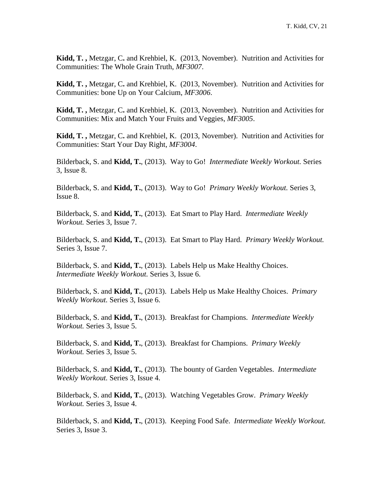**Kidd, T. ,** Metzgar, C**.** and Krehbiel, K. (2013, November). Nutrition and Activities for Communities: The Whole Grain Truth, *MF3007*.

**Kidd, T. ,** Metzgar, C**.** and Krehbiel, K. (2013, November). Nutrition and Activities for Communities: bone Up on Your Calcium, *MF3006*.

**Kidd, T. ,** Metzgar, C**.** and Krehbiel, K. (2013, November). Nutrition and Activities for Communities: Mix and Match Your Fruits and Veggies, *MF3005*.

**Kidd, T. ,** Metzgar, C**.** and Krehbiel, K. (2013, November). Nutrition and Activities for Communities: Start Your Day Right, *MF3004*.

Bilderback, S. and **Kidd, T.**, (2013). Way to Go! *Intermediate Weekly Workout.* Series 3, Issue 8.

Bilderback, S. and **Kidd, T.**, (2013). Way to Go! *Primary Weekly Workout.* Series 3, Issue 8.

Bilderback, S. and **Kidd, T.**, (2013). Eat Smart to Play Hard. *Intermediate Weekly Workout.* Series 3, Issue 7.

Bilderback, S. and **Kidd, T.**, (2013). Eat Smart to Play Hard. *Primary Weekly Workout.* Series 3, Issue 7.

Bilderback, S. and **Kidd, T.**, (2013). Labels Help us Make Healthy Choices. *Intermediate Weekly Workout.* Series 3, Issue 6.

Bilderback, S. and **Kidd, T.**, (2013). Labels Help us Make Healthy Choices. *Primary Weekly Workout.* Series 3, Issue 6.

Bilderback, S. and **Kidd, T.**, (2013). Breakfast for Champions. *Intermediate Weekly Workout.* Series 3, Issue 5.

Bilderback, S. and **Kidd, T.**, (2013). Breakfast for Champions. *Primary Weekly Workout.* Series 3, Issue 5.

Bilderback, S. and **Kidd, T.**, (2013). The bounty of Garden Vegetables. *Intermediate Weekly Workout.* Series 3, Issue 4.

Bilderback, S. and **Kidd, T.**, (2013). Watching Vegetables Grow. *Primary Weekly Workout.* Series 3, Issue 4.

Bilderback, S. and **Kidd, T.**, (2013). Keeping Food Safe. *Intermediate Weekly Workout.* Series 3, Issue 3.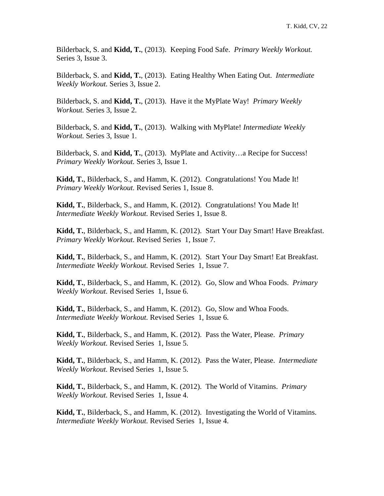Bilderback, S. and **Kidd, T.**, (2013). Keeping Food Safe. *Primary Weekly Workout.* Series 3, Issue 3.

Bilderback, S. and **Kidd, T.**, (2013). Eating Healthy When Eating Out. *Intermediate Weekly Workout.* Series 3, Issue 2.

Bilderback, S. and **Kidd, T.**, (2013). Have it the MyPlate Way! *Primary Weekly Workout.* Series 3, Issue 2.

Bilderback, S. and **Kidd, T.**, (2013). Walking with MyPlate! *Intermediate Weekly Workout.* Series 3, Issue 1.

Bilderback, S. and **Kidd, T.**, (2013). MyPlate and Activity…a Recipe for Success! *Primary Weekly Workout.* Series 3, Issue 1.

**Kidd, T.**, Bilderback, S., and Hamm, K. (2012). Congratulations! You Made It! *Primary Weekly Workout.* Revised Series 1, Issue 8.

**Kidd, T.**, Bilderback, S., and Hamm, K. (2012). Congratulations! You Made It! *Intermediate Weekly Workout.* Revised Series 1, Issue 8.

**Kidd, T.**, Bilderback, S., and Hamm, K. (2012). Start Your Day Smart! Have Breakfast. *Primary Weekly Workout.* Revised Series 1, Issue 7.

**Kidd, T.**, Bilderback, S., and Hamm, K. (2012). Start Your Day Smart! Eat Breakfast. *Intermediate Weekly Workout.* Revised Series 1, Issue 7.

**Kidd, T.**, Bilderback, S., and Hamm, K. (2012). Go, Slow and Whoa Foods.*Primary Weekly Workout.* Revised Series 1, Issue 6.

**Kidd, T.**, Bilderback, S., and Hamm, K. (2012). Go, Slow and Whoa Foods. *Intermediate Weekly Workout.* Revised Series 1, Issue 6.

**Kidd, T.**, Bilderback, S., and Hamm, K. (2012). Pass the Water, Please. *Primary Weekly Workout.* Revised Series 1, Issue 5.

**Kidd, T.**, Bilderback, S., and Hamm, K. (2012). Pass the Water, Please. *Intermediate Weekly Workout.* Revised Series 1, Issue 5.

**Kidd, T.**, Bilderback, S., and Hamm, K. (2012). The World of Vitamins. *Primary Weekly Workout.* Revised Series 1, Issue 4.

**Kidd, T.**, Bilderback, S., and Hamm, K. (2012). Investigating the World of Vitamins. *Intermediate Weekly Workout.* Revised Series 1, Issue 4.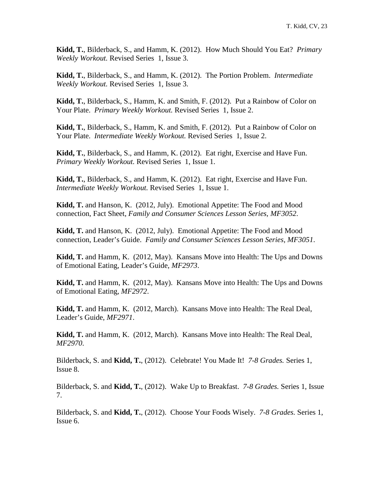**Kidd, T.**, Bilderback, S., and Hamm, K. (2012). How Much Should You Eat? *Primary Weekly Workout.* Revised Series 1, Issue 3.

**Kidd, T.**, Bilderback, S., and Hamm, K. (2012). The Portion Problem. *Intermediate Weekly Workout.* Revised Series 1, Issue 3.

**Kidd, T.**, Bilderback, S., Hamm, K. and Smith, F. (2012). Put a Rainbow of Color on Your Plate. *Primary Weekly Workout.* Revised Series 1, Issue 2.

**Kidd, T.**, Bilderback, S., Hamm, K. and Smith, F. (2012). Put a Rainbow of Color on Your Plate. *Intermediate Weekly Workout.* Revised Series 1, Issue 2.

**Kidd, T.**, Bilderback, S., and Hamm, K. (2012). Eat right, Exercise and Have Fun. *Primary Weekly Workout.* Revised Series 1, Issue 1.

**Kidd, T.**, Bilderback, S., and Hamm, K. (2012). Eat right, Exercise and Have Fun. *Intermediate Weekly Workout.* Revised Series 1, Issue 1.

**Kidd, T.** and Hanson, K. (2012, July). Emotional Appetite: The Food and Mood connection, Fact Sheet, *Family and Consumer Sciences Lesson Series, MF3052*.

**Kidd, T.** and Hanson, K. (2012, July). Emotional Appetite: The Food and Mood connection, Leader's Guide. *Family and Consumer Sciences Lesson Series, MF3051*.

**Kidd, T.** and Hamm, K. (2012, May). Kansans Move into Health: The Ups and Downs of Emotional Eating, Leader's Guide, *MF2973*.

**Kidd, T.** and Hamm, K. (2012, May). Kansans Move into Health: The Ups and Downs of Emotional Eating, *MF2972*.

**Kidd, T.** and Hamm, K. (2012, March). Kansans Move into Health: The Real Deal, Leader's Guide, *MF2971*.

**Kidd, T.** and Hamm, K. (2012, March). Kansans Move into Health: The Real Deal, *MF2970*.

Bilderback, S. and **Kidd, T.**, (2012). Celebrate! You Made It! *7-8 Grades.* Series 1, Issue 8.

Bilderback, S. and **Kidd, T.**, (2012). Wake Up to Breakfast. *7-8 Grades.* Series 1, Issue 7.

Bilderback, S. and **Kidd, T.**, (2012). Choose Your Foods Wisely. *7-8 Grades.* Series 1, Issue 6.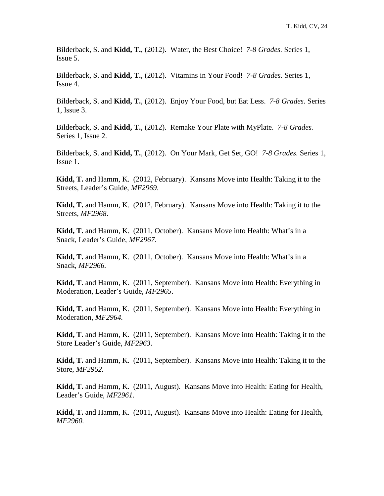Bilderback, S. and **Kidd, T.**, (2012). Water, the Best Choice! *7-8 Grades.* Series 1, Issue 5.

Bilderback, S. and **Kidd, T.**, (2012). Vitamins in Your Food! *7-8 Grades.* Series 1, Issue 4.

Bilderback, S. and **Kidd, T.**, (2012). Enjoy Your Food, but Eat Less. *7-8 Grades.* Series 1, Issue 3.

Bilderback, S. and **Kidd, T.**, (2012). Remake Your Plate with MyPlate. *7-8 Grades.* Series 1, Issue 2.

Bilderback, S. and **Kidd, T.**, (2012). On Your Mark, Get Set, GO! *7-8 Grades.* Series 1, Issue 1.

**Kidd, T.** and Hamm, K. (2012, February). Kansans Move into Health: Taking it to the Streets, Leader's Guide, *MF2969*.

**Kidd, T.** and Hamm, K. (2012, February). Kansans Move into Health: Taking it to the Streets, *MF2968*.

**Kidd, T.** and Hamm, K. (2011, October). Kansans Move into Health: What's in a Snack, Leader's Guide, *MF2967*.

**Kidd, T.** and Hamm, K. (2011, October). Kansans Move into Health: What's in a Snack, *MF2966.*

**Kidd, T.** and Hamm, K. (2011, September). Kansans Move into Health: Everything in Moderation, Leader's Guide, *MF2965*.

**Kidd, T.** and Hamm, K. (2011, September). Kansans Move into Health: Everything in Moderation, *MF2964.* 

**Kidd, T.** and Hamm, K. (2011, September). Kansans Move into Health: Taking it to the Store Leader's Guide, *MF2963*.

**Kidd, T.** and Hamm, K. (2011, September). Kansans Move into Health: Taking it to the Store, *MF2962.* 

**Kidd, T.** and Hamm, K. (2011, August). Kansans Move into Health: Eating for Health, Leader's Guide, *MF2961*.

**Kidd, T.** and Hamm, K. (2011, August). Kansans Move into Health: Eating for Health, *MF2960.*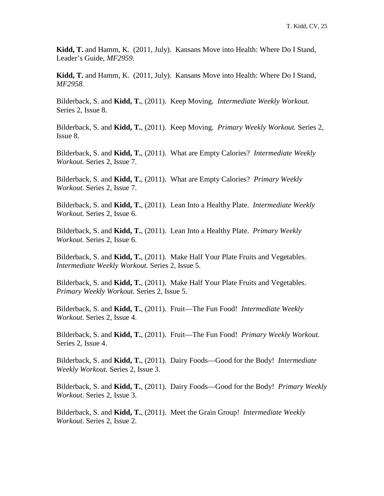**Kidd, T.** and Hamm, K. (2011, July). Kansans Move into Health: Where Do I Stand, Leader's Guide, *MF2959*.

**Kidd, T.** and Hamm, K. (2011, July). Kansans Move into Health: Where Do I Stand, *MF2958.* 

Bilderback, S. and **Kidd, T.**, (2011). Keep Moving. *Intermediate Weekly Workout.* Series 2, Issue 8.

Bilderback, S. and **Kidd, T.**, (2011). Keep Moving. *Primary Weekly Workout.* Series 2, Issue 8.

Bilderback, S. and **Kidd, T.**, (2011). What are Empty Calories? *Intermediate Weekly Workout.* Series 2, Issue 7.

Bilderback, S. and **Kidd, T.**, (2011). What are Empty Calories? *Primary Weekly Workout.* Series 2, Issue 7.

Bilderback, S. and **Kidd, T.**, (2011). Lean Into a Healthy Plate. *Intermediate Weekly Workout.* Series 2, Issue 6.

Bilderback, S. and **Kidd, T.**, (2011). Lean Into a Healthy Plate. *Primary Weekly Workout.* Series 2, Issue 6.

Bilderback, S. and **Kidd, T.**, (2011). Make Half Your Plate Fruits and Vegetables. *Intermediate Weekly Workout.* Series 2, Issue 5.

Bilderback, S. and **Kidd, T.**, (2011). Make Half Your Plate Fruits and Vegetables. *Primary Weekly Workout.* Series 2, Issue 5.

Bilderback, S. and **Kidd, T.**, (2011). Fruit—The Fun Food! *Intermediate Weekly Workout.* Series 2, Issue 4.

Bilderback, S. and **Kidd, T.**, (2011). Fruit—The Fun Food! *Primary Weekly Workout.* Series 2, Issue 4.

Bilderback, S. and **Kidd, T.**, (2011). Dairy Foods—Good for the Body! *Intermediate Weekly Workout.* Series 2, Issue 3.

Bilderback, S. and **Kidd, T.**, (2011). Dairy Foods—Good for the Body! *Primary Weekly Workout.* Series 2, Issue 3.

Bilderback, S. and **Kidd, T.**, (2011). Meet the Grain Group! *Intermediate Weekly Workout.* Series 2, Issue 2.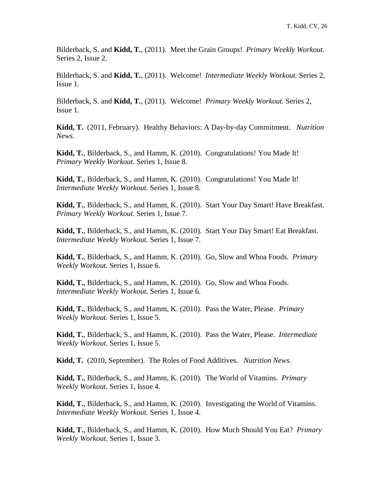Bilderback, S. and **Kidd, T.**, (2011). Meet the Grain Groups! *Primary Weekly Workout.* Series 2, Issue 2.

Bilderback, S. and **Kidd, T.**, (2011). Welcome! *Intermediate Weekly Workout.* Series 2, Issue 1.

Bilderback, S. and **Kidd, T.**, (2011). Welcome! *Primary Weekly Workout.* Series 2, Issue 1.

**Kidd, T.** (2011, February). Healthy Behaviors: A Day-by-day Commitment. *Nutrition News.*

**Kidd, T.**, Bilderback, S., and Hamm, K. (2010). Congratulations! You Made It! *Primary Weekly Workout.* Series 1, Issue 8.

**Kidd, T.**, Bilderback, S., and Hamm, K. (2010). Congratulations! You Made It! *Intermediate Weekly Workout.* Series 1, Issue 8.

**Kidd, T.**, Bilderback, S., and Hamm, K. (2010). Start Your Day Smart! Have Breakfast. *Primary Weekly Workout.* Series 1, Issue 7.

**Kidd, T.**, Bilderback, S., and Hamm, K. (2010). Start Your Day Smart! Eat Breakfast. *Intermediate Weekly Workout.* Series 1, Issue 7.

**Kidd, T.**, Bilderback, S., and Hamm, K. (2010). Go, Slow and Whoa Foods.*Primary Weekly Workout.* Series 1, Issue 6.

**Kidd, T.**, Bilderback, S., and Hamm, K. (2010). Go, Slow and Whoa Foods. *Intermediate Weekly Workout.* Series 1, Issue 6.

**Kidd, T.**, Bilderback, S., and Hamm, K. (2010). Pass the Water, Please. *Primary Weekly Workout.* Series 1, Issue 5.

**Kidd, T.**, Bilderback, S., and Hamm, K. (2010). Pass the Water, Please. *Intermediate Weekly Workout.* Series 1, Issue 5.

**Kidd, T.** (2010, September). The Roles of Food Additives. *Nutrition News.*

**Kidd, T.**, Bilderback, S., and Hamm, K. (2010). The World of Vitamins. *Primary Weekly Workout.* Series 1, Issue 4.

**Kidd, T.**, Bilderback, S., and Hamm, K. (2010). Investigating the World of Vitamins. *Intermediate Weekly Workout.* Series 1, Issue 4.

**Kidd, T.**, Bilderback, S., and Hamm, K. (2010). How Much Should You Eat? *Primary Weekly Workout.* Series 1, Issue 3.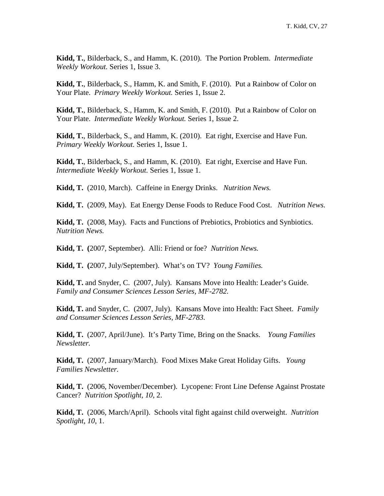**Kidd, T.**, Bilderback, S., and Hamm, K. (2010). The Portion Problem. *Intermediate Weekly Workout.* Series 1, Issue 3.

**Kidd, T.**, Bilderback, S., Hamm, K. and Smith, F. (2010). Put a Rainbow of Color on Your Plate. *Primary Weekly Workout.* Series 1, Issue 2.

**Kidd, T.**, Bilderback, S., Hamm, K. and Smith, F. (2010). Put a Rainbow of Color on Your Plate. *Intermediate Weekly Workout.* Series 1, Issue 2.

**Kidd, T.**, Bilderback, S., and Hamm, K. (2010). Eat right, Exercise and Have Fun. *Primary Weekly Workout.* Series 1, Issue 1.

**Kidd, T.**, Bilderback, S., and Hamm, K. (2010). Eat right, Exercise and Have Fun. *Intermediate Weekly Workout.* Series 1, Issue 1.

**Kidd, T.** (2010, March). Caffeine in Energy Drinks. *Nutrition News.*

**Kidd, T.** (2009, May). Eat Energy Dense Foods to Reduce Food Cost. *Nutrition News.*

**Kidd, T.** (2008, May). Facts and Functions of Prebiotics, Probiotics and Synbiotics. *Nutrition News.*

**Kidd, T. (**2007, September). Alli: Friend or foe? *Nutrition News.*

**Kidd, T. (**2007, July/September). What's on TV? *Young Families.*

**Kidd, T.** and Snyder, C. (2007, July). Kansans Move into Health: Leader's Guide. *Family and Consumer Sciences Lesson Series, MF-2782.* 

**Kidd, T.** and Snyder, C. (2007, July). Kansans Move into Health: Fact Sheet. *Family and Consumer Sciences Lesson Series, MF-2783.* 

**Kidd, T.** (2007, April/June). It's Party Time, Bring on the Snacks. *Young Families Newsletter.*

**Kidd, T.** (2007, January/March). Food Mixes Make Great Holiday Gifts. *Young Families Newsletter.*

**Kidd, T.** (2006, November/December). Lycopene: Front Line Defense Against Prostate Cancer? *Nutrition Spotlight, 10*, 2.

**Kidd, T.** (2006, March/April). Schools vital fight against child overweight. *Nutrition Spotlight*, *10*, 1.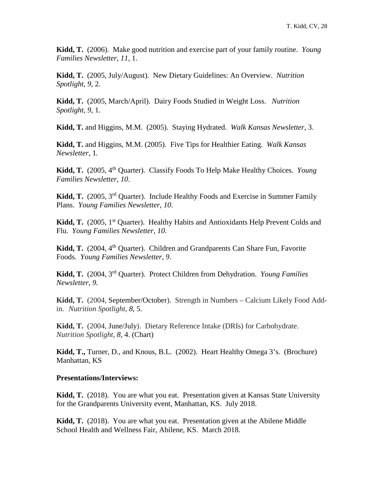**Kidd, T.** (2006).Make good nutrition and exercise part of your family routine. *Young Families Newsletter*, *11,* 1.

**Kidd, T.** (2005, July/August). New Dietary Guidelines: An Overview. *Nutrition Spotlight*, *9*, 2.

**Kidd, T.** (2005, March/April). Dairy Foods Studied in Weight Loss. *Nutrition Spotlight*, *9*, 1.

**Kidd, T.** and Higgins, M.M. (2005). Staying Hydrated. *Walk Kansas Newsletter,* 3.

**Kidd, T.** and Higgins, M.M. (2005). Five Tips for Healthier Eating. *Walk Kansas Newsletter,* 1*.*

**Kidd, T.** (2005, 4th Quarter). Classify Foods To Help Make Healthy Choices. *Young Families Newsletter*, *10*.

**Kidd, T.** (2005, 3rd Quarter). Include Healthy Foods and Exercise in Summer Family Plans. *Young Families Newsletter*, *10*.

Kidd, T. (2005, 1<sup>st</sup> Quarter). Healthy Habits and Antioxidants Help Prevent Colds and Flu. *Young Families Newsletter*, *10*.

**Kidd, T.** (2004, 4<sup>th</sup> Quarter). Children and Grandparents Can Share Fun, Favorite Foods. *Young Families Newsletter*, *9*.

**Kidd, T.** (2004, 3rd Quarter). Protect Children from Dehydration. *Young Families Newsletter*, *9.*

**Kidd, T.** (2004, September/October). Strength in Numbers – Calcium Likely Food Addin. *Nutrition Spotlight*, *8*, 5.

**Kidd, T.** (2004, June/July). Dietary Reference Intake (DRIs) for Carbohydrate. *Nutrition Spotlight*, *8*, 4. (Chart)

**Kidd, T.,** Turner, D., and Knous, B.L. (2002). Heart Healthy Omega 3's. (Brochure) Manhattan, KS

#### **Presentations/Interviews:**

**Kidd, T.** (2018). You are what you eat. Presentation given at Kansas State University for the Grandparents University event, Manhattan, KS. July 2018.

**Kidd, T.** (2018). You are what you eat. Presentation given at the Abilene Middle School Health and Wellness Fair, Abilene, KS. March 2018.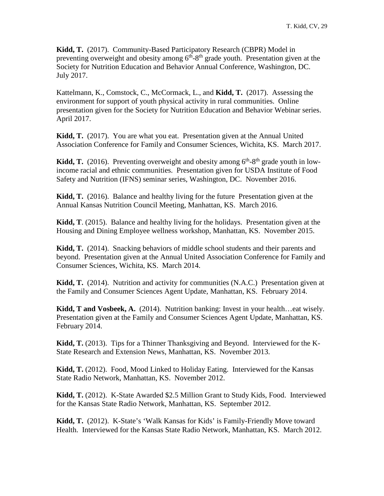**Kidd, T.** (2017). Community-Based Participatory Research (CBPR) Model in preventing overweight and obesity among  $6<sup>th</sup>$ -8<sup>th</sup> grade youth. Presentation given at the Society for Nutrition Education and Behavior Annual Conference, Washington, DC. July 2017.

Kattelmann, K., Comstock, C., McCormack, L., and **Kidd, T.** (2017). Assessing the environment for support of youth physical activity in rural communities. Online presentation given for the Society for Nutrition Education and Behavior Webinar series. April 2017.

**Kidd, T.** (2017). You are what you eat. Presentation given at the Annual United Association Conference for Family and Consumer Sciences, Wichita, KS. March 2017.

**Kidd, T.** (2016). Preventing overweight and obesity among  $6<sup>th</sup>$ - $8<sup>th</sup>$  grade youth in lowincome racial and ethnic communities. Presentation given for USDA Institute of Food Safety and Nutrition (IFNS) seminar series, Washington, DC. November 2016.

**Kidd, T.** (2016). Balance and healthy living for the future Presentation given at the Annual Kansas Nutrition Council Meeting, Manhattan, KS. March 2016.

**Kidd, T**. (2015). Balance and healthy living for the holidays. Presentation given at the Housing and Dining Employee wellness workshop, Manhattan, KS. November 2015.

**Kidd, T.** (2014). Snacking behaviors of middle school students and their parents and beyond. Presentation given at the Annual United Association Conference for Family and Consumer Sciences, Wichita, KS. March 2014.

**Kidd, T.** (2014). Nutrition and activity for communities (N.A.C.) Presentation given at the Family and Consumer Sciences Agent Update, Manhattan, KS. February 2014.

**Kidd, T and Vosbeek, A.** (2014). Nutrition banking: Invest in your health…eat wisely. Presentation given at the Family and Consumer Sciences Agent Update, Manhattan, KS. February 2014.

**Kidd, T.** (2013). Tips for a Thinner Thanksgiving and Beyond. Interviewed for the K-State Research and Extension News, Manhattan, KS. November 2013.

**Kidd, T.** (2012). Food, Mood Linked to Holiday Eating. Interviewed for the Kansas State Radio Network, Manhattan, KS. November 2012.

**Kidd, T.** (2012). K-State Awarded \$2.5 Million Grant to Study Kids, Food. Interviewed for the Kansas State Radio Network, Manhattan, KS. September 2012.

**Kidd, T.** (2012). K-State's 'Walk Kansas for Kids' is Family-Friendly Move toward Health. Interviewed for the Kansas State Radio Network, Manhattan, KS. March 2012.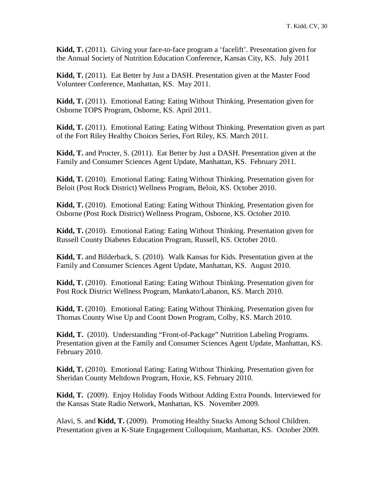**Kidd, T.** (2011). Giving your face-to-face program a 'facelift'. Presentation given for the Annual Society of Nutrition Education Conference, Kansas City, KS. July 2011

**Kidd, T.** (2011). Eat Better by Just a DASH. Presentation given at the Master Food Volunteer Conference, Manhattan, KS. May 2011.

**Kidd, T.** (2011). Emotional Eating: Eating Without Thinking. Presentation given for Osborne TOPS Program, Osborne, KS. April 2011.

**Kidd, T.** (2011). Emotional Eating: Eating Without Thinking. Presentation given as part of the Fort Riley Healthy Choices Series, Fort Riley, KS. March 2011.

**Kidd, T.** and Procter, S. (2011). Eat Better by Just a DASH. Presentation given at the Family and Consumer Sciences Agent Update, Manhattan, KS. February 2011.

**Kidd, T.** (2010). Emotional Eating: Eating Without Thinking. Presentation given for Beloit (Post Rock District) Wellness Program, Beloit, KS. October 2010.

**Kidd, T.** (2010). Emotional Eating: Eating Without Thinking. Presentation given for Osborne (Post Rock District) Wellness Program, Osborne, KS. October 2010.

**Kidd, T.** (2010). Emotional Eating: Eating Without Thinking. Presentation given for Russell County Diabetes Education Program, Russell, KS. October 2010.

**Kidd, T.** and Bilderback, S. (2010). Walk Kansas for Kids. Presentation given at the Family and Consumer Sciences Agent Update, Manhattan, KS. August 2010.

**Kidd, T.** (2010). Emotional Eating: Eating Without Thinking. Presentation given for Post Rock District Wellness Program, Mankato/Labanon, KS. March 2010.

**Kidd, T.** (2010). Emotional Eating: Eating Without Thinking. Presentation given for Thomas County Wise Up and Count Down Program, Colby, KS. March 2010.

**Kidd, T.** (2010). Understanding "Front-of-Package" Nutrition Labeling Programs. Presentation given at the Family and Consumer Sciences Agent Update, Manhattan, KS. February 2010.

**Kidd, T.** (2010). Emotional Eating: Eating Without Thinking. Presentation given for Sheridan County Meltdown Program, Hoxie, KS. February 2010.

**Kidd, T.** (2009). Enjoy Holiday Foods Without Adding Extra Pounds. Interviewed for the Kansas State Radio Network, Manhattan, KS. November 2009.

Alavi, S. and **Kidd, T.** (2009). Promoting Healthy Snacks Among School Children. Presentation given at K-State Engagement Colloquium, Manhattan, KS. October 2009.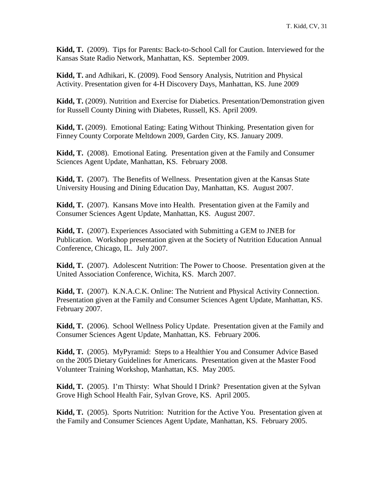**Kidd, T.** (2009). Tips for Parents: Back-to-School Call for Caution. Interviewed for the Kansas State Radio Network, Manhattan, KS. September 2009.

**Kidd, T.** and Adhikari, K. (2009). Food Sensory Analysis, Nutrition and Physical Activity. Presentation given for 4-H Discovery Days, Manhattan, KS. June 2009

**Kidd, T.** (2009). Nutrition and Exercise for Diabetics. Presentation/Demonstration given for Russell County Dining with Diabetes, Russell, KS. April 2009.

**Kidd, T.** (2009). Emotional Eating: Eating Without Thinking. Presentation given for Finney County Corporate Meltdown 2009, Garden City, KS. January 2009.

**Kidd, T.** (2008). Emotional Eating. Presentation given at the Family and Consumer Sciences Agent Update, Manhattan, KS. February 2008.

**Kidd, T.** (2007). The Benefits of Wellness. Presentation given at the Kansas State University Housing and Dining Education Day, Manhattan, KS. August 2007.

**Kidd, T.** (2007). Kansans Move into Health. Presentation given at the Family and Consumer Sciences Agent Update, Manhattan, KS. August 2007.

**Kidd, T.** (2007). Experiences Associated with Submitting a GEM to JNEB for Publication. Workshop presentation given at the Society of Nutrition Education Annual Conference, Chicago, IL. July 2007.

**Kidd, T.** (2007). Adolescent Nutrition: The Power to Choose. Presentation given at the United Association Conference, Wichita, KS. March 2007.

**Kidd, T.** (2007). K.N.A.C.K. Online: The Nutrient and Physical Activity Connection. Presentation given at the Family and Consumer Sciences Agent Update, Manhattan, KS. February 2007.

**Kidd, T.** (2006). School Wellness Policy Update. Presentation given at the Family and Consumer Sciences Agent Update, Manhattan, KS. February 2006.

**Kidd, T.** (2005). MyPyramid: Steps to a Healthier You and Consumer Advice Based on the 2005 Dietary Guidelines for Americans. Presentation given at the Master Food Volunteer Training Workshop, Manhattan, KS. May 2005.

**Kidd, T.** (2005). I'm Thirsty: What Should I Drink? Presentation given at the Sylvan Grove High School Health Fair, Sylvan Grove, KS. April 2005.

**Kidd, T.** (2005). Sports Nutrition: Nutrition for the Active You. Presentation given at the Family and Consumer Sciences Agent Update, Manhattan, KS. February 2005.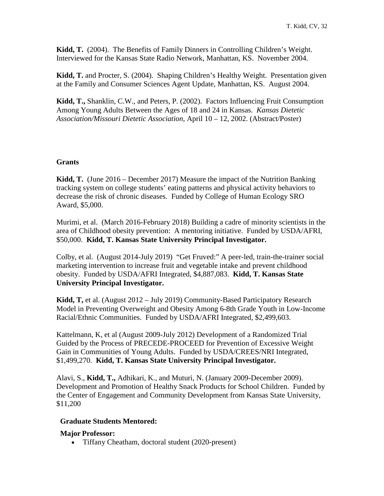**Kidd, T.** (2004). The Benefits of Family Dinners in Controlling Children's Weight. Interviewed for the Kansas State Radio Network, Manhattan, KS. November 2004.

**Kidd, T.** and Procter, S. (2004). Shaping Children's Healthy Weight. Presentation given at the Family and Consumer Sciences Agent Update, Manhattan, KS. August 2004.

**Kidd, T.,** Shanklin, C.W., and Peters, P. (2002). Factors Influencing Fruit Consumption Among Young Adults Between the Ages of 18 and 24 in Kansas. *Kansas Dietetic Association/Missouri Dietetic Association,* April 10 – 12, 2002. (Abstract/Poster)

## **Grants**

**Kidd, T.** (June 2016 – December 2017) Measure the impact of the Nutrition Banking tracking system on college students' eating patterns and physical activity behaviors to decrease the risk of chronic diseases. Funded by College of Human Ecology SRO Award, \$5,000.

Murimi, et al. (March 2016-February 2018) Building a cadre of minority scientists in the area of Childhood obesity prevention: A mentoring initiative. Funded by USDA/AFRI, \$50,000. **Kidd, T. Kansas State University Principal Investigator.**

Colby, et al. (August 2014-July 2019) "Get Fruved:" A peer-led, train-the-trainer social marketing intervention to increase fruit and vegetable intake and prevent childhood obesity. Funded by USDA/AFRI Integrated, \$4,887,083. **Kidd, T. Kansas State University Principal Investigator.**

**Kidd, T,** et al. (August 2012 – July 2019) Community-Based Participatory Research Model in Preventing Overweight and Obesity Among 6-8th Grade Youth in Low-Income Racial/Ethnic Communities. Funded by USDA/AFRI Integrated, \$2,499,603.

Kattelmann, K, et al (August 2009-July 2012) Development of a Randomized Trial Guided by the Process of PRECEDE-PROCEED for Prevention of Excessive Weight Gain in Communities of Young Adults. Funded by USDA/CREES/NRI Integrated, \$1,499,270. **Kidd, T. Kansas State University Principal Investigator.**

Alavi, S., **Kidd, T.,** Adhikari, K., and Muturi, N. (January 2009-December 2009). Development and Promotion of Healthy Snack Products for School Children. Funded by the Center of Engagement and Community Development from Kansas State University, \$11,200

## **Graduate Students Mentored:**

### **Major Professor:**

• Tiffany Cheatham, doctoral student (2020-present)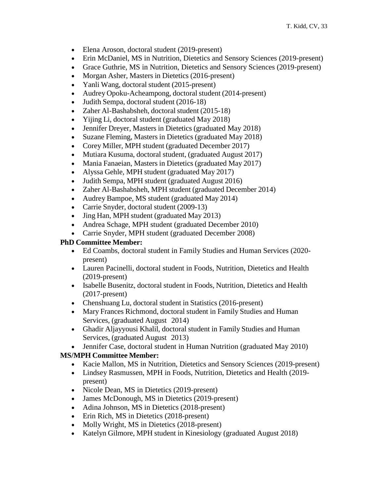- Elena Aroson, doctoral student (2019-present)
- Erin McDaniel, MS in Nutrition, Dietetics and Sensory Sciences (2019-present)
- Grace Guthrie, MS in Nutrition, Dietetics and Sensory Sciences (2019-present)
- Morgan Asher, Masters in Dietetics (2016-present)
- Yanli Wang, doctoral student (2015-present)
- Audrey Opoku-Acheampong, doctoral student (2014-present)
- Judith Sempa, doctoral student (2016-18)
- Zaher Al-Bashabsheh, doctoral student (2015-18)
- Yijing Li, doctoral student (graduated May 2018)
- Jennifer Dreyer, Masters in Dietetics (graduated May 2018)
- Suzane Fleming, Masters in Dietetics (graduated May 2018)
- Corey Miller, MPH student (graduated December 2017)
- Mutiara Kusuma, doctoral student, (graduated August 2017)
- Mania Fanaeian, Masters in Dietetics (graduated May 2017)
- Alyssa Gehle, MPH student (graduated May 2017)
- Judith Sempa, MPH student (graduated August 2016)
- Zaher Al-Bashabsheh, MPH student (graduated December 2014)
- Audrey Bampoe, MS student (graduated May 2014)
- Carrie Snyder, doctoral student (2009-13)
- Jing Han, MPH student (graduated May 2013)
- Andrea Schage, MPH student (graduated December 2010)
- Carrie Snyder, MPH student (graduated December 2008)

# **PhD Committee Member:**

- Ed Coambs, doctoral student in Family Studies and Human Services (2020 present)
- Lauren Pacinelli, doctoral student in Foods, Nutrition, Dietetics and Health (2019-present)
- Isabelle Busenitz, doctoral student in Foods, Nutrition, Dietetics and Health (2017-present)
- Chenshuang Lu, doctoral student in Statistics (2016-present)
- Mary Frances Richmond, doctoral student in Family Studies and Human Services, (graduated August 2014)
- Ghadir Aljayyousi Khalil, doctoral student in Family Studies and Human Services, (graduated August 2013)
- Jennifer Case, doctoral student in Human Nutrition (graduated May 2010)

# **MS/MPH Committee Member:**

- Kacie Mallon, MS in Nutrition, Dietetics and Sensory Sciences (2019-present)
- Lindsey Rasmussen, MPH in Foods, Nutrition, Dietetics and Health (2019 present)
- Nicole Dean, MS in Dietetics (2019-present)
- James McDonough, MS in Dietetics (2019-present)
- Adina Johnson, MS in Dietetics (2018-present)
- Erin Rich, MS in Dietetics (2018-present)
- Molly Wright, MS in Dietetics (2018-present)
- Katelyn Gilmore, MPH student in Kinesiology (graduated August 2018)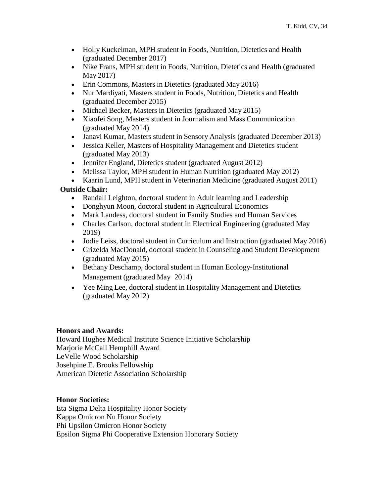- Holly Kuckelman, MPH student in Foods, Nutrition, Dietetics and Health (graduated December 2017)
- Nike Frans, MPH student in Foods, Nutrition, Dietetics and Health (graduated May 2017)
- Erin Commons, Masters in Dietetics (graduated May 2016)
- Nur Mardiyati, Masters student in Foods, Nutrition, Dietetics and Health (graduated December 2015)
- Michael Becker, Masters in Dietetics (graduated May 2015)
- Xiaofei Song, Masters student in Journalism and Mass Communication (graduated May 2014)
- Janavi Kumar, Masters student in Sensory Analysis (graduated December 2013)
- Jessica Keller, Masters of Hospitality Management and Dietetics student (graduated May 2013)
- Jennifer England, Dietetics student (graduated August 2012)
- Melissa Taylor, MPH student in Human Nutrition (graduated May 2012)

• Kaarin Lund, MPH student in Veterinarian Medicine (graduated August 2011)

## **Outside Chair:**

- Randall Leighton, doctoral student in Adult learning and Leadership
- Donghyun Moon, doctoral student in Agricultural Economics
- Mark Landess, doctoral student in Family Studies and Human Services
- Charles Carlson, doctoral student in Electrical Engineering (graduated May 2019)
- Jodie Leiss, doctoral student in Curriculum and Instruction (graduated May 2016)
- Grizelda MacDonald, doctoral student in Counseling and Student Development (graduated May 2015)
- Bethany Deschamp, doctoral student in Human Ecology-Institutional Management (graduated May 2014)
- Yee Ming Lee, doctoral student in Hospitality Management and Dietetics (graduated May 2012)

### **Honors and Awards:**

Howard Hughes Medical Institute Science Initiative Scholarship Marjorie McCall Hemphill Award LeVelle Wood Scholarship Josehpine E. Brooks Fellowship American Dietetic Association Scholarship

### **Honor Societies:**

Eta Sigma Delta Hospitality Honor Society Kappa Omicron Nu Honor Society Phi Upsilon Omicron Honor Society Epsilon Sigma Phi Cooperative Extension Honorary Society